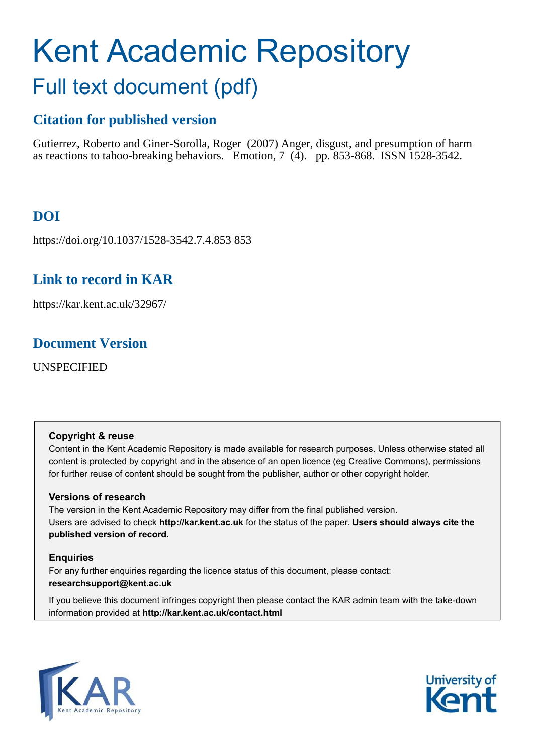# Kent Academic Repository Full text document (pdf)

# **Citation for published version**

Gutierrez, Roberto and Giner-Sorolla, Roger (2007) Anger, disgust, and presumption of harm as reactions to taboo-breaking behaviors. Emotion, 7 (4). pp. 853-868. ISSN 1528-3542.

# **DOI**

https://doi.org/10.1037/1528-3542.7.4.853 853

# **Link to record in KAR**

https://kar.kent.ac.uk/32967/

# **Document Version**

UNSPECIFIED

# **Copyright & reuse**

Content in the Kent Academic Repository is made available for research purposes. Unless otherwise stated all content is protected by copyright and in the absence of an open licence (eg Creative Commons), permissions for further reuse of content should be sought from the publisher, author or other copyright holder.

# **Versions of research**

The version in the Kent Academic Repository may differ from the final published version. Users are advised to check **http://kar.kent.ac.uk** for the status of the paper. **Users should always cite the published version of record.**

# **Enquiries**

For any further enquiries regarding the licence status of this document, please contact: **researchsupport@kent.ac.uk**

If you believe this document infringes copyright then please contact the KAR admin team with the take-down information provided at **http://kar.kent.ac.uk/contact.html**



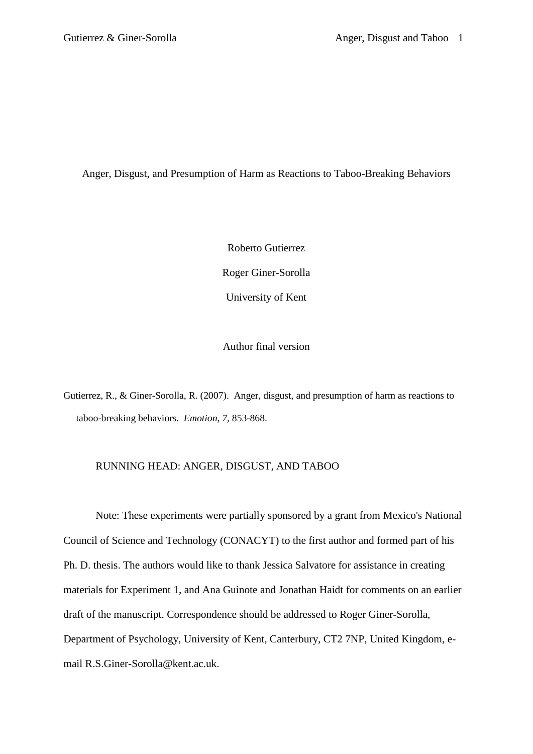# Anger, Disgust, and Presumption of Harm as Reactions to Taboo-Breaking Behaviors

Roberto Gutierrez Roger Giner-Sorolla University of Kent

Author final version

Gutierrez, R., & Giner-Sorolla, R. (2007). Anger, disgust, and presumption of harm as reactions to taboo-breaking behaviors. *Emotion, 7,* 853-868.

# RUNNING HEAD: ANGER, DISGUST, AND TABOO

Note: These experiments were partially sponsored by a grant from Mexico's National Council of Science and Technology (CONACYT) to the first author and formed part of his Ph. D. thesis. The authors would like to thank Jessica Salvatore for assistance in creating materials for Experiment 1, and Ana Guinote and Jonathan Haidt for comments on an earlier draft of the manuscript. Correspondence should be addressed to Roger Giner-Sorolla, Department of Psychology, University of Kent, Canterbury, CT2 7NP, United Kingdom, email R.S.Giner-Sorolla@kent.ac.uk.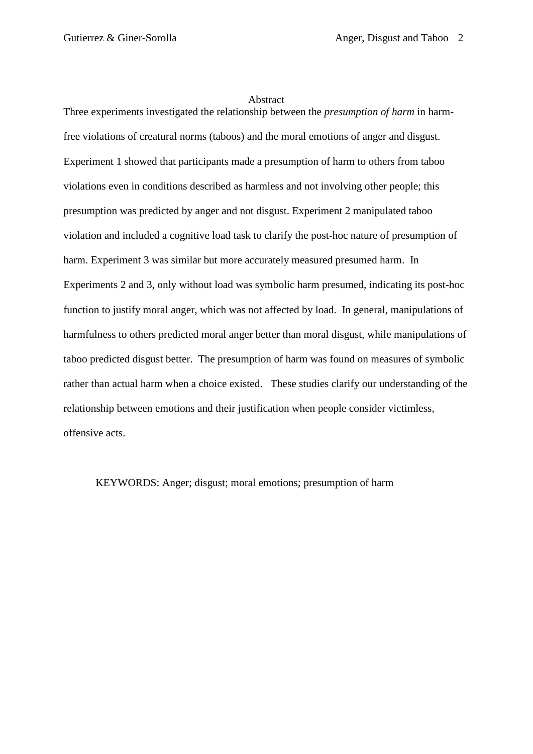#### Abstract

Three experiments investigated the relationship between the *presumption of harm* in harmfree violations of creatural norms (taboos) and the moral emotions of anger and disgust. Experiment 1 showed that participants made a presumption of harm to others from taboo violations even in conditions described as harmless and not involving other people; this presumption was predicted by anger and not disgust. Experiment 2 manipulated taboo violation and included a cognitive load task to clarify the post-hoc nature of presumption of harm. Experiment 3 was similar but more accurately measured presumed harm. In Experiments 2 and 3, only without load was symbolic harm presumed, indicating its post-hoc function to justify moral anger, which was not affected by load. In general, manipulations of harmfulness to others predicted moral anger better than moral disgust, while manipulations of taboo predicted disgust better. The presumption of harm was found on measures of symbolic rather than actual harm when a choice existed. These studies clarify our understanding of the relationship between emotions and their justification when people consider victimless, offensive acts.

KEYWORDS: Anger; disgust; moral emotions; presumption of harm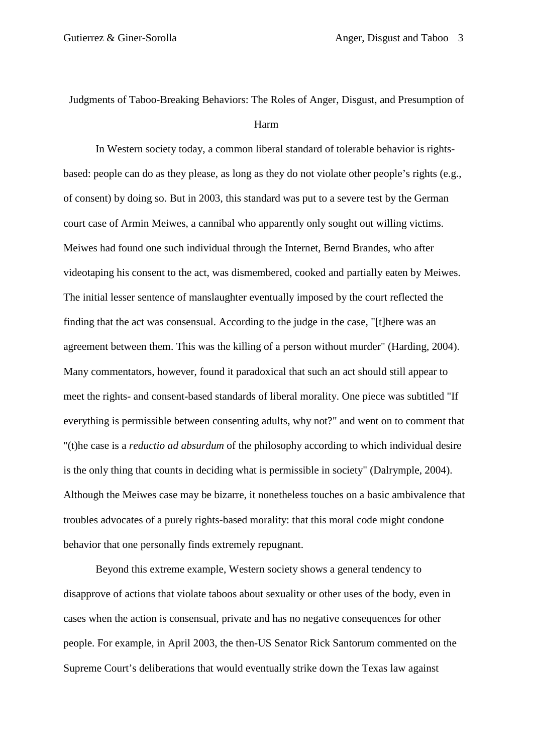# Judgments of Taboo-Breaking Behaviors: The Roles of Anger, Disgust, and Presumption of Harm

In Western society today, a common liberal standard of tolerable behavior is rightsbased: people can do as they please, as long as they do not violate other people's rights (e.g., of consent) by doing so. But in 2003, this standard was put to a severe test by the German court case of Armin Meiwes, a cannibal who apparently only sought out willing victims. Meiwes had found one such individual through the Internet, Bernd Brandes, who after videotaping his consent to the act, was dismembered, cooked and partially eaten by Meiwes. The initial lesser sentence of manslaughter eventually imposed by the court reflected the finding that the act was consensual. According to the judge in the case, "[t]here was an agreement between them. This was the killing of a person without murder" (Harding, 2004). Many commentators, however, found it paradoxical that such an act should still appear to meet the rights- and consent-based standards of liberal morality. One piece was subtitled "If everything is permissible between consenting adults, why not?" and went on to comment that "(t)he case is a *reductio ad absurdum* of the philosophy according to which individual desire is the only thing that counts in deciding what is permissible in society" (Dalrymple, 2004). Although the Meiwes case may be bizarre, it nonetheless touches on a basic ambivalence that troubles advocates of a purely rights-based morality: that this moral code might condone behavior that one personally finds extremely repugnant.

Beyond this extreme example, Western society shows a general tendency to disapprove of actions that violate taboos about sexuality or other uses of the body, even in cases when the action is consensual, private and has no negative consequences for other people. For example, in April 2003, the then-US Senator Rick Santorum commented on the Supreme Court's deliberations that would eventually strike down the Texas law against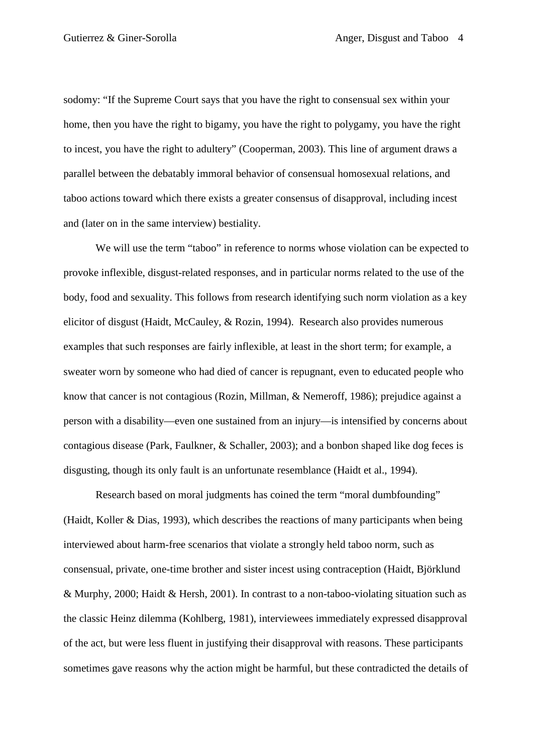sodomy: "If the Supreme Court says that you have the right to consensual sex within your home, then you have the right to bigamy, you have the right to polygamy, you have the right to incest, you have the right to adultery" (Cooperman, 2003). This line of argument draws a parallel between the debatably immoral behavior of consensual homosexual relations, and taboo actions toward which there exists a greater consensus of disapproval, including incest and (later on in the same interview) bestiality.

We will use the term "taboo" in reference to norms whose violation can be expected to provoke inflexible, disgust-related responses, and in particular norms related to the use of the body, food and sexuality. This follows from research identifying such norm violation as a key elicitor of disgust (Haidt, McCauley, & Rozin, 1994). Research also provides numerous examples that such responses are fairly inflexible, at least in the short term; for example, a sweater worn by someone who had died of cancer is repugnant, even to educated people who know that cancer is not contagious (Rozin, Millman, & Nemeroff, 1986); prejudice against a person with a disability—even one sustained from an injury—is intensified by concerns about contagious disease (Park, Faulkner, & Schaller, 2003); and a bonbon shaped like dog feces is disgusting, though its only fault is an unfortunate resemblance (Haidt et al., 1994).

Research based on moral judgments has coined the term "moral dumbfounding" (Haidt, Koller & Dias, 1993), which describes the reactions of many participants when being interviewed about harm-free scenarios that violate a strongly held taboo norm, such as consensual, private, one-time brother and sister incest using contraception (Haidt, Björklund & Murphy, 2000; Haidt & Hersh, 2001). In contrast to a non-taboo-violating situation such as the classic Heinz dilemma (Kohlberg, 1981), interviewees immediately expressed disapproval of the act, but were less fluent in justifying their disapproval with reasons. These participants sometimes gave reasons why the action might be harmful, but these contradicted the details of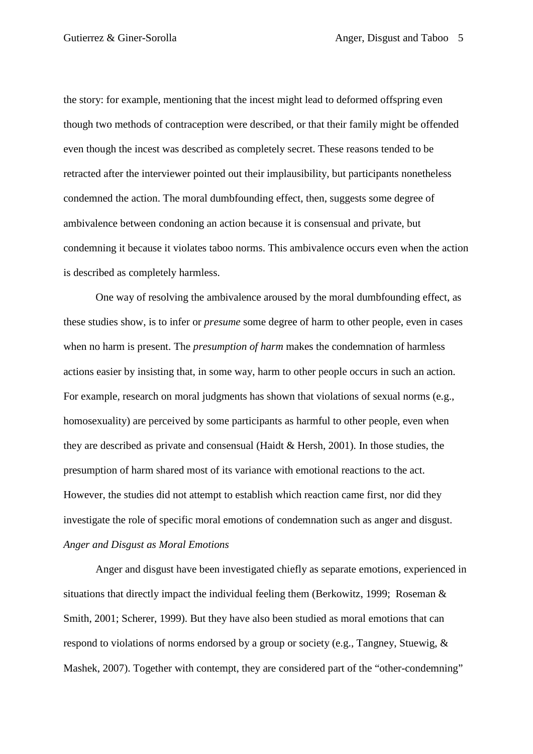the story: for example, mentioning that the incest might lead to deformed offspring even though two methods of contraception were described, or that their family might be offended even though the incest was described as completely secret. These reasons tended to be retracted after the interviewer pointed out their implausibility, but participants nonetheless condemned the action. The moral dumbfounding effect, then, suggests some degree of ambivalence between condoning an action because it is consensual and private, but condemning it because it violates taboo norms. This ambivalence occurs even when the action is described as completely harmless.

One way of resolving the ambivalence aroused by the moral dumbfounding effect, as these studies show, is to infer or *presume* some degree of harm to other people, even in cases when no harm is present. The *presumption of harm* makes the condemnation of harmless actions easier by insisting that, in some way, harm to other people occurs in such an action. For example, research on moral judgments has shown that violations of sexual norms (e.g., homosexuality) are perceived by some participants as harmful to other people, even when they are described as private and consensual (Haidt & Hersh, 2001). In those studies, the presumption of harm shared most of its variance with emotional reactions to the act. However, the studies did not attempt to establish which reaction came first, nor did they investigate the role of specific moral emotions of condemnation such as anger and disgust. *Anger and Disgust as Moral Emotions* 

Anger and disgust have been investigated chiefly as separate emotions, experienced in situations that directly impact the individual feeling them (Berkowitz, 1999; Roseman & Smith, 2001; Scherer, 1999). But they have also been studied as moral emotions that can respond to violations of norms endorsed by a group or society (e.g., Tangney, Stuewig, & Mashek, 2007). Together with contempt, they are considered part of the "other-condemning"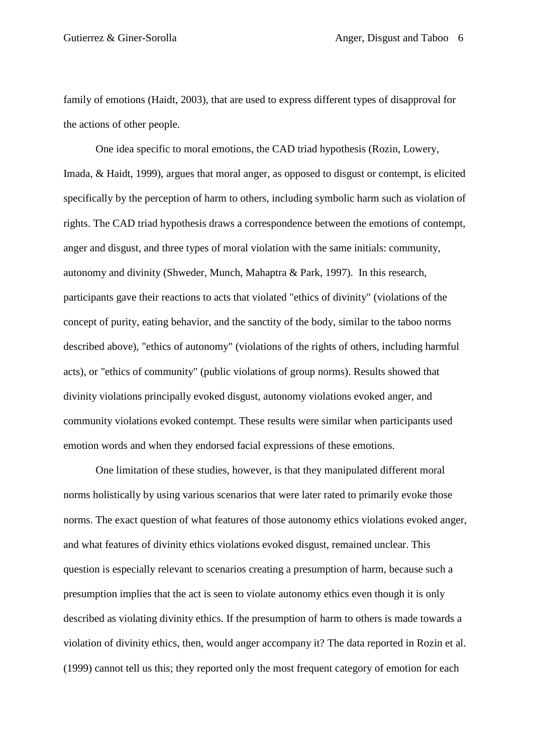family of emotions (Haidt, 2003), that are used to express different types of disapproval for the actions of other people.

One idea specific to moral emotions, the CAD triad hypothesis (Rozin, Lowery, Imada, & Haidt, 1999), argues that moral anger, as opposed to disgust or contempt, is elicited specifically by the perception of harm to others, including symbolic harm such as violation of rights. The CAD triad hypothesis draws a correspondence between the emotions of contempt, anger and disgust, and three types of moral violation with the same initials: community, autonomy and divinity (Shweder, Munch, Mahaptra & Park, 1997). In this research, participants gave their reactions to acts that violated "ethics of divinity" (violations of the concept of purity, eating behavior, and the sanctity of the body, similar to the taboo norms described above), "ethics of autonomy" (violations of the rights of others, including harmful acts), or "ethics of community" (public violations of group norms). Results showed that divinity violations principally evoked disgust, autonomy violations evoked anger, and community violations evoked contempt. These results were similar when participants used emotion words and when they endorsed facial expressions of these emotions.

One limitation of these studies, however, is that they manipulated different moral norms holistically by using various scenarios that were later rated to primarily evoke those norms. The exact question of what features of those autonomy ethics violations evoked anger, and what features of divinity ethics violations evoked disgust, remained unclear. This question is especially relevant to scenarios creating a presumption of harm, because such a presumption implies that the act is seen to violate autonomy ethics even though it is only described as violating divinity ethics. If the presumption of harm to others is made towards a violation of divinity ethics, then, would anger accompany it? The data reported in Rozin et al. (1999) cannot tell us this; they reported only the most frequent category of emotion for each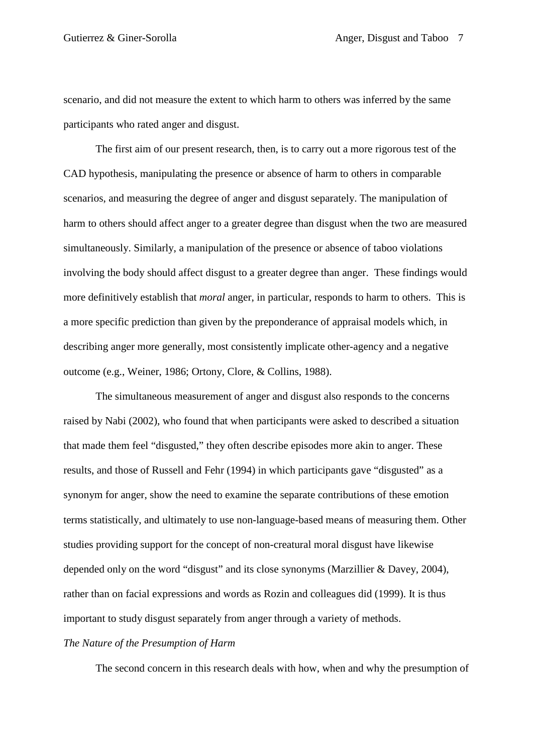scenario, and did not measure the extent to which harm to others was inferred by the same participants who rated anger and disgust.

The first aim of our present research, then, is to carry out a more rigorous test of the CAD hypothesis, manipulating the presence or absence of harm to others in comparable scenarios, and measuring the degree of anger and disgust separately. The manipulation of harm to others should affect anger to a greater degree than disgust when the two are measured simultaneously. Similarly, a manipulation of the presence or absence of taboo violations involving the body should affect disgust to a greater degree than anger. These findings would more definitively establish that *moral* anger, in particular, responds to harm to others. This is a more specific prediction than given by the preponderance of appraisal models which, in describing anger more generally, most consistently implicate other-agency and a negative outcome (e.g., Weiner, 1986; Ortony, Clore, & Collins, 1988).

The simultaneous measurement of anger and disgust also responds to the concerns raised by Nabi (2002), who found that when participants were asked to described a situation that made them feel "disgusted," they often describe episodes more akin to anger. These results, and those of Russell and Fehr (1994) in which participants gave "disgusted" as a synonym for anger, show the need to examine the separate contributions of these emotion terms statistically, and ultimately to use non-language-based means of measuring them. Other studies providing support for the concept of non-creatural moral disgust have likewise depended only on the word "disgust" and its close synonyms (Marzillier & Davey, 2004), rather than on facial expressions and words as Rozin and colleagues did (1999). It is thus important to study disgust separately from anger through a variety of methods.

#### *The Nature of the Presumption of Harm*

The second concern in this research deals with how, when and why the presumption of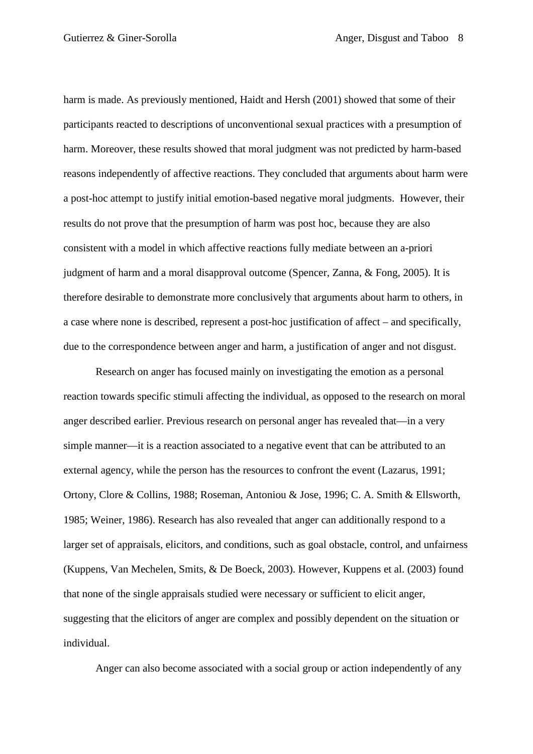harm is made. As previously mentioned, Haidt and Hersh (2001) showed that some of their participants reacted to descriptions of unconventional sexual practices with a presumption of harm. Moreover, these results showed that moral judgment was not predicted by harm-based reasons independently of affective reactions. They concluded that arguments about harm were a post-hoc attempt to justify initial emotion-based negative moral judgments. However, their results do not prove that the presumption of harm was post hoc, because they are also consistent with a model in which affective reactions fully mediate between an a-priori judgment of harm and a moral disapproval outcome (Spencer, Zanna, & Fong, 2005). It is therefore desirable to demonstrate more conclusively that arguments about harm to others, in a case where none is described, represent a post-hoc justification of affect – and specifically, due to the correspondence between anger and harm, a justification of anger and not disgust.

Research on anger has focused mainly on investigating the emotion as a personal reaction towards specific stimuli affecting the individual, as opposed to the research on moral anger described earlier. Previous research on personal anger has revealed that—in a very simple manner—it is a reaction associated to a negative event that can be attributed to an external agency, while the person has the resources to confront the event (Lazarus, 1991; Ortony, Clore & Collins, 1988; Roseman, Antoniou & Jose, 1996; C. A. Smith & Ellsworth, 1985; Weiner, 1986). Research has also revealed that anger can additionally respond to a larger set of appraisals, elicitors, and conditions, such as goal obstacle, control, and unfairness (Kuppens, Van Mechelen, Smits, & De Boeck, 2003). However, Kuppens et al. (2003) found that none of the single appraisals studied were necessary or sufficient to elicit anger, suggesting that the elicitors of anger are complex and possibly dependent on the situation or individual.

Anger can also become associated with a social group or action independently of any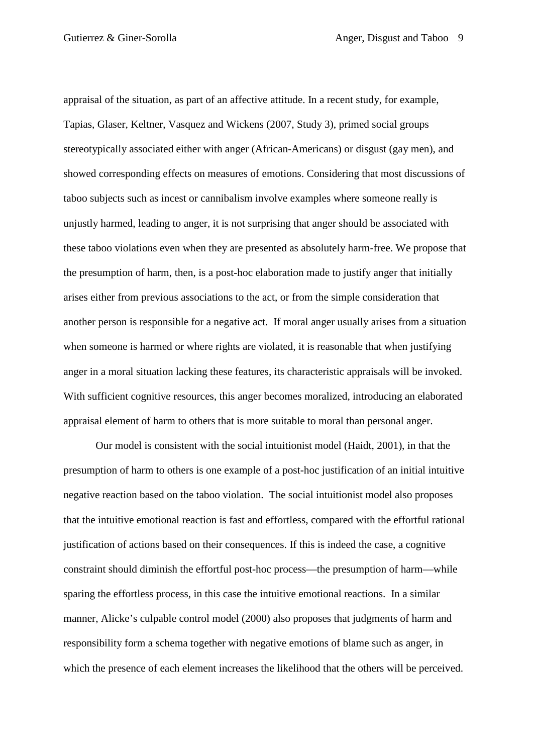appraisal of the situation, as part of an affective attitude. In a recent study, for example, Tapias, Glaser, Keltner, Vasquez and Wickens (2007, Study 3), primed social groups stereotypically associated either with anger (African-Americans) or disgust (gay men), and showed corresponding effects on measures of emotions. Considering that most discussions of taboo subjects such as incest or cannibalism involve examples where someone really is unjustly harmed, leading to anger, it is not surprising that anger should be associated with these taboo violations even when they are presented as absolutely harm-free. We propose that the presumption of harm, then, is a post-hoc elaboration made to justify anger that initially arises either from previous associations to the act, or from the simple consideration that another person is responsible for a negative act. If moral anger usually arises from a situation when someone is harmed or where rights are violated, it is reasonable that when justifying anger in a moral situation lacking these features, its characteristic appraisals will be invoked. With sufficient cognitive resources, this anger becomes moralized, introducing an elaborated appraisal element of harm to others that is more suitable to moral than personal anger.

Our model is consistent with the social intuitionist model (Haidt, 2001), in that the presumption of harm to others is one example of a post-hoc justification of an initial intuitive negative reaction based on the taboo violation. The social intuitionist model also proposes that the intuitive emotional reaction is fast and effortless, compared with the effortful rational justification of actions based on their consequences. If this is indeed the case, a cognitive constraint should diminish the effortful post-hoc process—the presumption of harm—while sparing the effortless process, in this case the intuitive emotional reactions. In a similar manner, Alicke's culpable control model (2000) also proposes that judgments of harm and responsibility form a schema together with negative emotions of blame such as anger, in which the presence of each element increases the likelihood that the others will be perceived.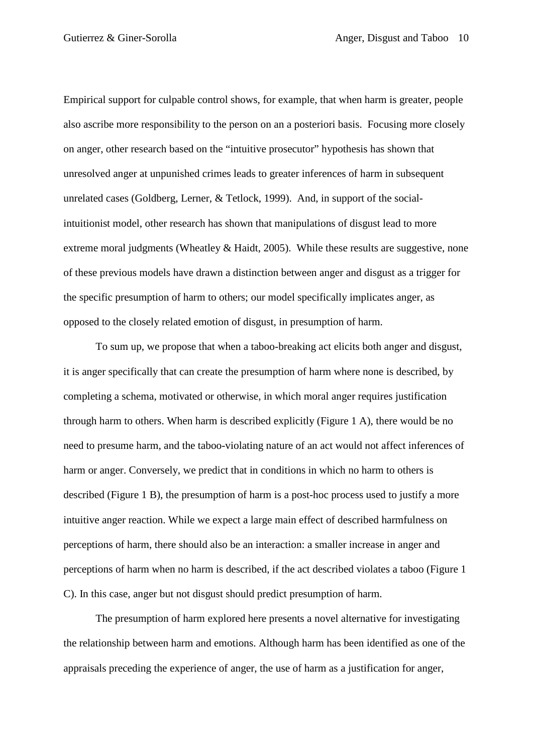Empirical support for culpable control shows, for example, that when harm is greater, people also ascribe more responsibility to the person on an a posteriori basis. Focusing more closely on anger, other research based on the "intuitive prosecutor" hypothesis has shown that unresolved anger at unpunished crimes leads to greater inferences of harm in subsequent unrelated cases (Goldberg, Lerner, & Tetlock, 1999). And, in support of the socialintuitionist model, other research has shown that manipulations of disgust lead to more extreme moral judgments (Wheatley & Haidt, 2005). While these results are suggestive, none of these previous models have drawn a distinction between anger and disgust as a trigger for the specific presumption of harm to others; our model specifically implicates anger, as opposed to the closely related emotion of disgust, in presumption of harm.

To sum up, we propose that when a taboo-breaking act elicits both anger and disgust, it is anger specifically that can create the presumption of harm where none is described, by completing a schema, motivated or otherwise, in which moral anger requires justification through harm to others. When harm is described explicitly (Figure 1 A), there would be no need to presume harm, and the taboo-violating nature of an act would not affect inferences of harm or anger. Conversely, we predict that in conditions in which no harm to others is described (Figure 1 B), the presumption of harm is a post-hoc process used to justify a more intuitive anger reaction. While we expect a large main effect of described harmfulness on perceptions of harm, there should also be an interaction: a smaller increase in anger and perceptions of harm when no harm is described, if the act described violates a taboo (Figure 1 C). In this case, anger but not disgust should predict presumption of harm.

The presumption of harm explored here presents a novel alternative for investigating the relationship between harm and emotions. Although harm has been identified as one of the appraisals preceding the experience of anger, the use of harm as a justification for anger,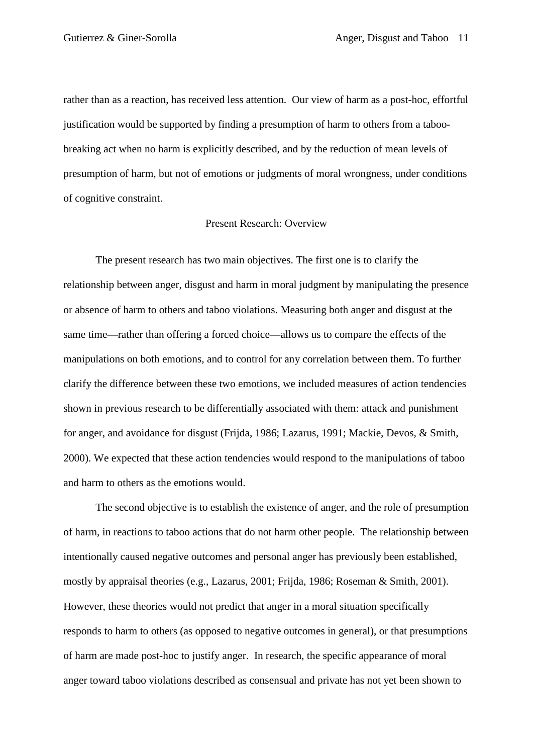rather than as a reaction, has received less attention. Our view of harm as a post-hoc, effortful justification would be supported by finding a presumption of harm to others from a taboobreaking act when no harm is explicitly described, and by the reduction of mean levels of presumption of harm, but not of emotions or judgments of moral wrongness, under conditions of cognitive constraint.

## Present Research: Overview

The present research has two main objectives. The first one is to clarify the relationship between anger, disgust and harm in moral judgment by manipulating the presence or absence of harm to others and taboo violations. Measuring both anger and disgust at the same time—rather than offering a forced choice—allows us to compare the effects of the manipulations on both emotions, and to control for any correlation between them. To further clarify the difference between these two emotions, we included measures of action tendencies shown in previous research to be differentially associated with them: attack and punishment for anger, and avoidance for disgust (Frijda, 1986; Lazarus, 1991; Mackie, Devos, & Smith, 2000). We expected that these action tendencies would respond to the manipulations of taboo and harm to others as the emotions would.

The second objective is to establish the existence of anger, and the role of presumption of harm, in reactions to taboo actions that do not harm other people. The relationship between intentionally caused negative outcomes and personal anger has previously been established, mostly by appraisal theories (e.g., Lazarus, 2001; Frijda, 1986; Roseman & Smith, 2001). However, these theories would not predict that anger in a moral situation specifically responds to harm to others (as opposed to negative outcomes in general), or that presumptions of harm are made post-hoc to justify anger. In research, the specific appearance of moral anger toward taboo violations described as consensual and private has not yet been shown to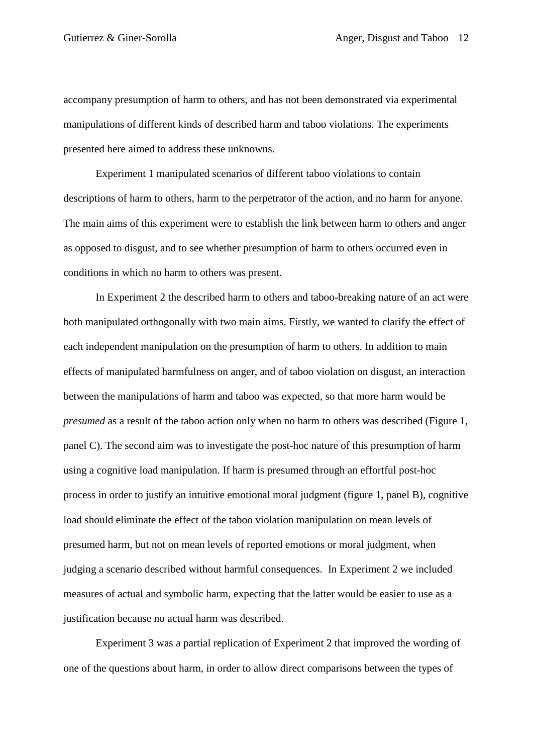accompany presumption of harm to others, and has not been demonstrated via experimental manipulations of different kinds of described harm and taboo violations. The experiments presented here aimed to address these unknowns.

Experiment 1 manipulated scenarios of different taboo violations to contain descriptions of harm to others, harm to the perpetrator of the action, and no harm for anyone. The main aims of this experiment were to establish the link between harm to others and anger as opposed to disgust, and to see whether presumption of harm to others occurred even in conditions in which no harm to others was present.

In Experiment 2 the described harm to others and taboo-breaking nature of an act were both manipulated orthogonally with two main aims. Firstly, we wanted to clarify the effect of each independent manipulation on the presumption of harm to others. In addition to main effects of manipulated harmfulness on anger, and of taboo violation on disgust, an interaction between the manipulations of harm and taboo was expected, so that more harm would be *presumed* as a result of the taboo action only when no harm to others was described (Figure 1, panel C). The second aim was to investigate the post-hoc nature of this presumption of harm using a cognitive load manipulation. If harm is presumed through an effortful post-hoc process in order to justify an intuitive emotional moral judgment (figure 1, panel B), cognitive load should eliminate the effect of the taboo violation manipulation on mean levels of presumed harm, but not on mean levels of reported emotions or moral judgment, when judging a scenario described without harmful consequences. In Experiment 2 we included measures of actual and symbolic harm, expecting that the latter would be easier to use as a justification because no actual harm was described.

Experiment 3 was a partial replication of Experiment 2 that improved the wording of one of the questions about harm, in order to allow direct comparisons between the types of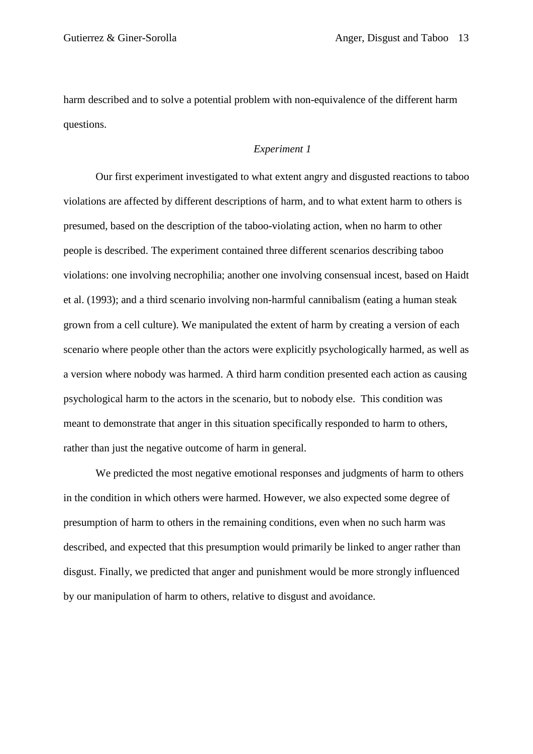harm described and to solve a potential problem with non-equivalence of the different harm questions.

#### *Experiment 1*

Our first experiment investigated to what extent angry and disgusted reactions to taboo violations are affected by different descriptions of harm, and to what extent harm to others is presumed, based on the description of the taboo-violating action, when no harm to other people is described. The experiment contained three different scenarios describing taboo violations: one involving necrophilia; another one involving consensual incest, based on Haidt et al. (1993); and a third scenario involving non-harmful cannibalism (eating a human steak grown from a cell culture). We manipulated the extent of harm by creating a version of each scenario where people other than the actors were explicitly psychologically harmed, as well as a version where nobody was harmed. A third harm condition presented each action as causing psychological harm to the actors in the scenario, but to nobody else. This condition was meant to demonstrate that anger in this situation specifically responded to harm to others, rather than just the negative outcome of harm in general.

We predicted the most negative emotional responses and judgments of harm to others in the condition in which others were harmed. However, we also expected some degree of presumption of harm to others in the remaining conditions, even when no such harm was described, and expected that this presumption would primarily be linked to anger rather than disgust. Finally, we predicted that anger and punishment would be more strongly influenced by our manipulation of harm to others, relative to disgust and avoidance.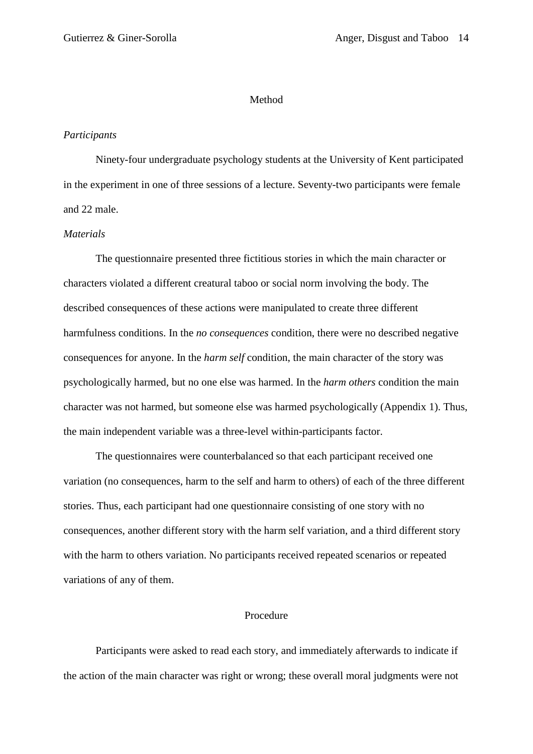#### Method

#### *Participants*

Ninety-four undergraduate psychology students at the University of Kent participated in the experiment in one of three sessions of a lecture. Seventy-two participants were female and 22 male.

#### *Materials*

The questionnaire presented three fictitious stories in which the main character or characters violated a different creatural taboo or social norm involving the body. The described consequences of these actions were manipulated to create three different harmfulness conditions. In the *no consequences* condition, there were no described negative consequences for anyone. In the *harm self* condition, the main character of the story was psychologically harmed, but no one else was harmed. In the *harm others* condition the main character was not harmed, but someone else was harmed psychologically (Appendix 1). Thus, the main independent variable was a three-level within-participants factor.

The questionnaires were counterbalanced so that each participant received one variation (no consequences, harm to the self and harm to others) of each of the three different stories. Thus, each participant had one questionnaire consisting of one story with no consequences, another different story with the harm self variation, and a third different story with the harm to others variation. No participants received repeated scenarios or repeated variations of any of them.

#### Procedure

Participants were asked to read each story, and immediately afterwards to indicate if the action of the main character was right or wrong; these overall moral judgments were not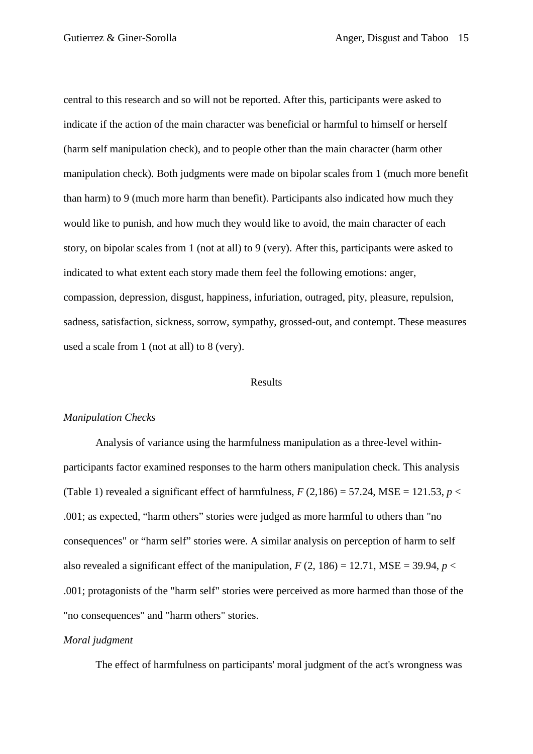central to this research and so will not be reported. After this, participants were asked to indicate if the action of the main character was beneficial or harmful to himself or herself (harm self manipulation check), and to people other than the main character (harm other manipulation check). Both judgments were made on bipolar scales from 1 (much more benefit than harm) to 9 (much more harm than benefit). Participants also indicated how much they would like to punish, and how much they would like to avoid, the main character of each story, on bipolar scales from 1 (not at all) to 9 (very). After this, participants were asked to indicated to what extent each story made them feel the following emotions: anger, compassion, depression, disgust, happiness, infuriation, outraged, pity, pleasure, repulsion, sadness, satisfaction, sickness, sorrow, sympathy, grossed-out, and contempt. These measures used a scale from 1 (not at all) to 8 (very).

#### Results

#### *Manipulation Checks*

Analysis of variance using the harmfulness manipulation as a three-level withinparticipants factor examined responses to the harm others manipulation check. This analysis (Table 1) revealed a significant effect of harmfulness,  $F(2,186) = 57.24$ , MSE = 121.53,  $p <$ .001; as expected, "harm others" stories were judged as more harmful to others than "no consequences" or "harm self" stories were. A similar analysis on perception of harm to self also revealed a significant effect of the manipulation,  $F(2, 186) = 12.71$ , MSE = 39.94,  $p <$ .001; protagonists of the "harm self" stories were perceived as more harmed than those of the "no consequences" and "harm others" stories.

#### *Moral judgment*

The effect of harmfulness on participants' moral judgment of the act's wrongness was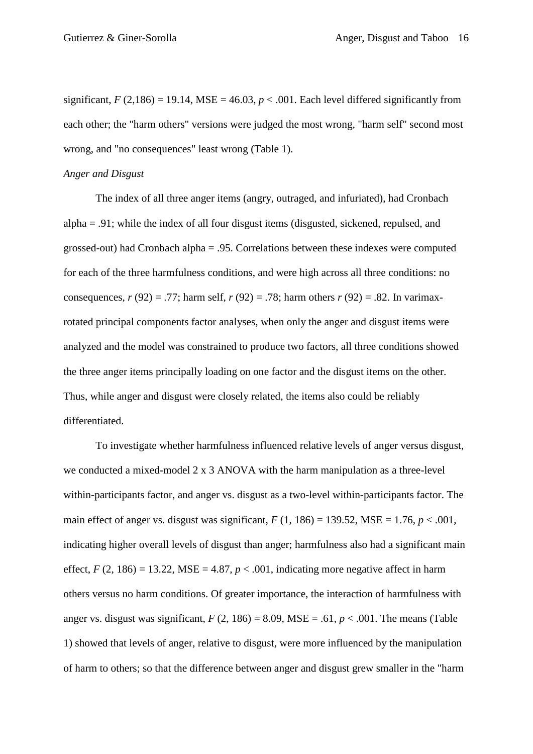significant,  $F(2,186) = 19.14$ , MSE = 46.03,  $p < .001$ . Each level differed significantly from each other; the "harm others" versions were judged the most wrong, "harm self" second most wrong, and "no consequences" least wrong (Table 1).

# *Anger and Disgust*

The index of all three anger items (angry, outraged, and infuriated), had Cronbach alpha = .91; while the index of all four disgust items (disgusted, sickened, repulsed, and grossed-out) had Cronbach alpha = .95. Correlations between these indexes were computed for each of the three harmfulness conditions, and were high across all three conditions: no consequences,  $r(92) = .77$ ; harm self,  $r(92) = .78$ ; harm others  $r(92) = .82$ . In varimaxrotated principal components factor analyses, when only the anger and disgust items were analyzed and the model was constrained to produce two factors, all three conditions showed the three anger items principally loading on one factor and the disgust items on the other. Thus, while anger and disgust were closely related, the items also could be reliably differentiated.

To investigate whether harmfulness influenced relative levels of anger versus disgust, we conducted a mixed-model 2 x 3 ANOVA with the harm manipulation as a three-level within-participants factor, and anger vs. disgust as a two-level within-participants factor. The main effect of anger vs. disgust was significant,  $F(1, 186) = 139.52$ , MSE = 1.76,  $p < .001$ , indicating higher overall levels of disgust than anger; harmfulness also had a significant main effect,  $F(2, 186) = 13.22$ , MSE = 4.87,  $p < .001$ , indicating more negative affect in harm others versus no harm conditions. Of greater importance, the interaction of harmfulness with anger vs. disgust was significant,  $F(2, 186) = 8.09$ , MSE = .61,  $p < .001$ . The means (Table 1) showed that levels of anger, relative to disgust, were more influenced by the manipulation of harm to others; so that the difference between anger and disgust grew smaller in the "harm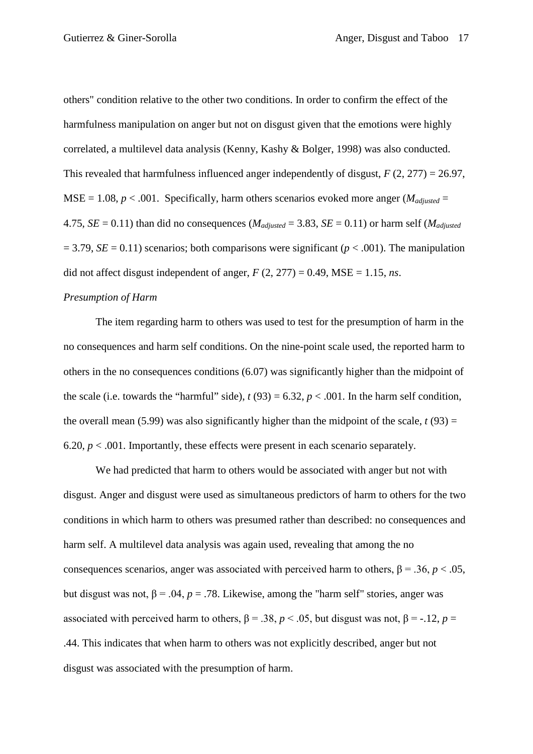others" condition relative to the other two conditions. In order to confirm the effect of the harmfulness manipulation on anger but not on disgust given that the emotions were highly correlated, a multilevel data analysis (Kenny, Kashy & Bolger, 1998) was also conducted. This revealed that harmfulness influenced anger independently of disgust,  $F(2, 277) = 26.97$ ,  $MSE = 1.08$ ,  $p < .001$ . Specifically, harm others scenarios evoked more anger ( $M_{adjusted} =$ 4.75, *SE* = 0.11) than did no consequences ( $M_{adiusted}$  = 3.83, *SE* = 0.11) or harm self ( $M_{adiusted}$ )  $= 3.79$ , *SE* = 0.11) scenarios; both comparisons were significant ( $p < .001$ ). The manipulation did not affect disgust independent of anger,  $F(2, 277) = 0.49$ , MSE = 1.15, *ns*.

#### *Presumption of Harm*

The item regarding harm to others was used to test for the presumption of harm in the no consequences and harm self conditions. On the nine-point scale used, the reported harm to others in the no consequences conditions (6.07) was significantly higher than the midpoint of the scale (i.e. towards the "harmful" side),  $t(93) = 6.32$ ,  $p < .001$ . In the harm self condition, the overall mean (5.99) was also significantly higher than the midpoint of the scale,  $t(93) =$ 6.20,  $p < .001$ . Importantly, these effects were present in each scenario separately.

We had predicted that harm to others would be associated with anger but not with disgust. Anger and disgust were used as simultaneous predictors of harm to others for the two conditions in which harm to others was presumed rather than described: no consequences and harm self. A multilevel data analysis was again used, revealing that among the no consequences scenarios, anger was associated with perceived harm to others,  $\beta = .36$ ,  $p < .05$ , but disgust was not,  $\beta$  = .04, *p* = .78. Likewise, among the "harm self" stories, anger was associated with perceived harm to others,  $\beta = .38$ ,  $p < .05$ , but disgust was not,  $\beta = -.12$ ,  $p =$ .44. This indicates that when harm to others was not explicitly described, anger but not disgust was associated with the presumption of harm.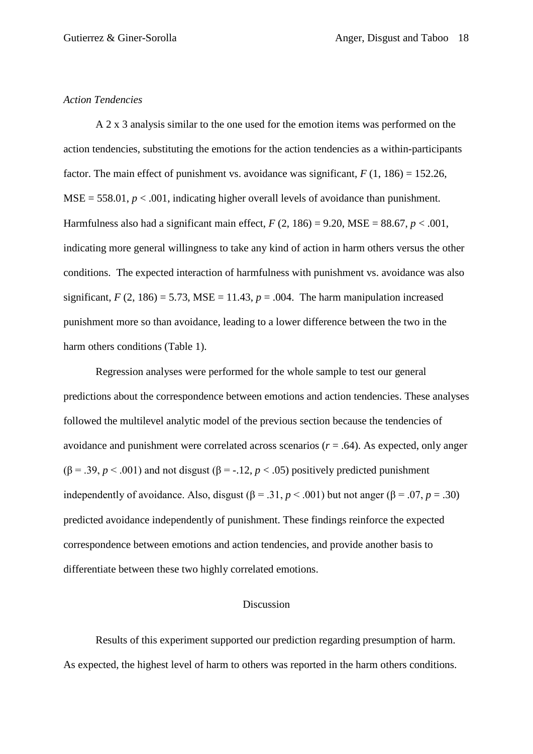## *Action Tendencies*

A 2 x 3 analysis similar to the one used for the emotion items was performed on the action tendencies, substituting the emotions for the action tendencies as a within-participants factor. The main effect of punishment vs. avoidance was significant,  $F(1, 186) = 152.26$ ,  $MSE = 558.01, p < .001$ , indicating higher overall levels of avoidance than punishment. Harmfulness also had a significant main effect,  $F(2, 186) = 9.20$ , MSE = 88.67,  $p < .001$ , indicating more general willingness to take any kind of action in harm others versus the other conditions. The expected interaction of harmfulness with punishment vs. avoidance was also significant,  $F(2, 186) = 5.73$ , MSE = 11.43,  $p = .004$ . The harm manipulation increased punishment more so than avoidance, leading to a lower difference between the two in the harm others conditions (Table 1).

Regression analyses were performed for the whole sample to test our general predictions about the correspondence between emotions and action tendencies. These analyses followed the multilevel analytic model of the previous section because the tendencies of avoidance and punishment were correlated across scenarios  $(r = .64)$ . As expected, only anger  $(\beta = .39, p < .001)$  and not disgust  $(\beta = .12, p < .05)$  positively predicted punishment independently of avoidance. Also, disgust  $(\beta = .31, p < .001)$  but not anger  $(\beta = .07, p = .30)$ predicted avoidance independently of punishment. These findings reinforce the expected correspondence between emotions and action tendencies, and provide another basis to differentiate between these two highly correlated emotions.

#### Discussion

Results of this experiment supported our prediction regarding presumption of harm. As expected, the highest level of harm to others was reported in the harm others conditions.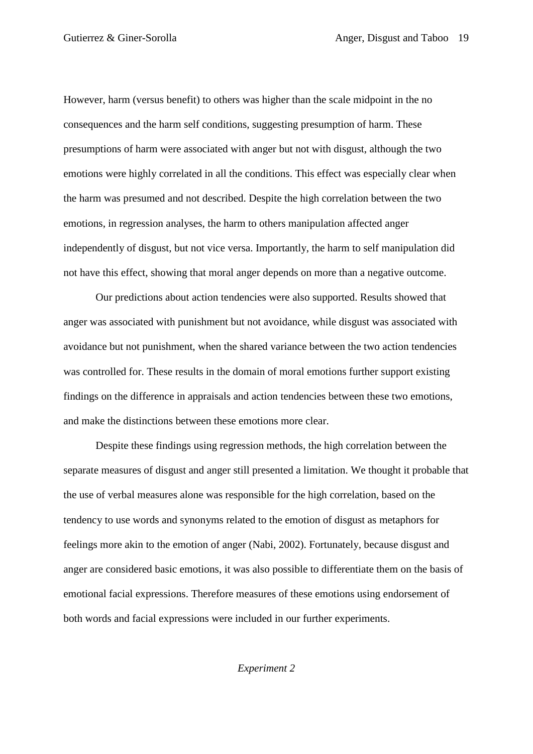However, harm (versus benefit) to others was higher than the scale midpoint in the no consequences and the harm self conditions, suggesting presumption of harm. These presumptions of harm were associated with anger but not with disgust, although the two emotions were highly correlated in all the conditions. This effect was especially clear when the harm was presumed and not described. Despite the high correlation between the two emotions, in regression analyses, the harm to others manipulation affected anger independently of disgust, but not vice versa. Importantly, the harm to self manipulation did not have this effect, showing that moral anger depends on more than a negative outcome.

Our predictions about action tendencies were also supported. Results showed that anger was associated with punishment but not avoidance, while disgust was associated with avoidance but not punishment, when the shared variance between the two action tendencies was controlled for. These results in the domain of moral emotions further support existing findings on the difference in appraisals and action tendencies between these two emotions, and make the distinctions between these emotions more clear.

Despite these findings using regression methods, the high correlation between the separate measures of disgust and anger still presented a limitation. We thought it probable that the use of verbal measures alone was responsible for the high correlation, based on the tendency to use words and synonyms related to the emotion of disgust as metaphors for feelings more akin to the emotion of anger (Nabi, 2002). Fortunately, because disgust and anger are considered basic emotions, it was also possible to differentiate them on the basis of emotional facial expressions. Therefore measures of these emotions using endorsement of both words and facial expressions were included in our further experiments.

## *Experiment 2*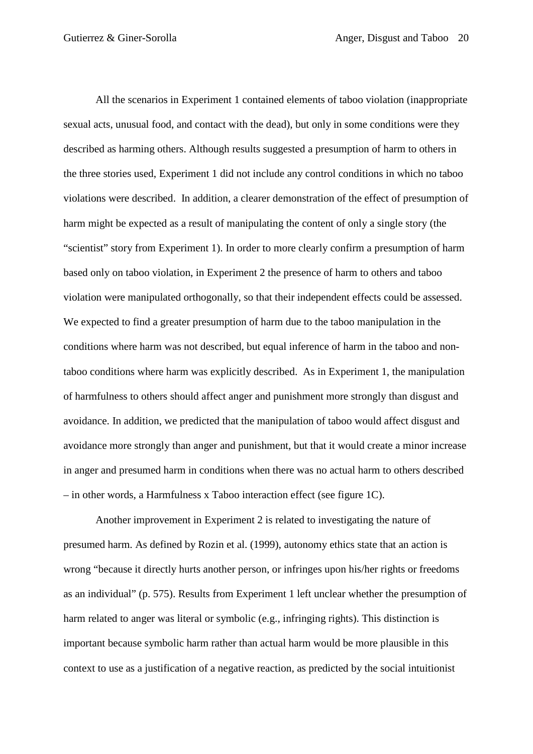All the scenarios in Experiment 1 contained elements of taboo violation (inappropriate sexual acts, unusual food, and contact with the dead), but only in some conditions were they described as harming others. Although results suggested a presumption of harm to others in the three stories used, Experiment 1 did not include any control conditions in which no taboo violations were described. In addition, a clearer demonstration of the effect of presumption of harm might be expected as a result of manipulating the content of only a single story (the "scientist" story from Experiment 1). In order to more clearly confirm a presumption of harm based only on taboo violation, in Experiment 2 the presence of harm to others and taboo violation were manipulated orthogonally, so that their independent effects could be assessed. We expected to find a greater presumption of harm due to the taboo manipulation in the conditions where harm was not described, but equal inference of harm in the taboo and nontaboo conditions where harm was explicitly described. As in Experiment 1, the manipulation of harmfulness to others should affect anger and punishment more strongly than disgust and avoidance. In addition, we predicted that the manipulation of taboo would affect disgust and avoidance more strongly than anger and punishment, but that it would create a minor increase in anger and presumed harm in conditions when there was no actual harm to others described – in other words, a Harmfulness x Taboo interaction effect (see figure 1C).

Another improvement in Experiment 2 is related to investigating the nature of presumed harm. As defined by Rozin et al. (1999), autonomy ethics state that an action is wrong "because it directly hurts another person, or infringes upon his/her rights or freedoms as an individual" (p. 575). Results from Experiment 1 left unclear whether the presumption of harm related to anger was literal or symbolic (e.g., infringing rights). This distinction is important because symbolic harm rather than actual harm would be more plausible in this context to use as a justification of a negative reaction, as predicted by the social intuitionist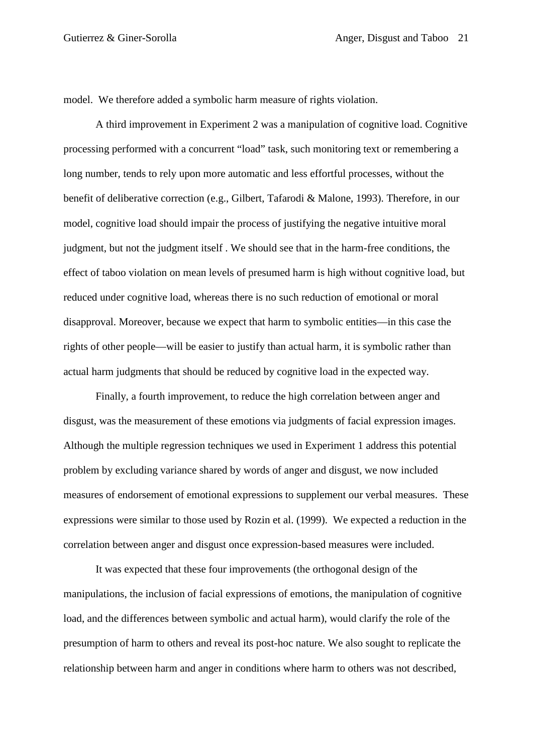model. We therefore added a symbolic harm measure of rights violation.

A third improvement in Experiment 2 was a manipulation of cognitive load. Cognitive processing performed with a concurrent "load" task, such monitoring text or remembering a long number, tends to rely upon more automatic and less effortful processes, without the benefit of deliberative correction (e.g., Gilbert, Tafarodi & Malone, 1993). Therefore, in our model, cognitive load should impair the process of justifying the negative intuitive moral judgment, but not the judgment itself . We should see that in the harm-free conditions, the effect of taboo violation on mean levels of presumed harm is high without cognitive load, but reduced under cognitive load, whereas there is no such reduction of emotional or moral disapproval. Moreover, because we expect that harm to symbolic entities—in this case the rights of other people—will be easier to justify than actual harm, it is symbolic rather than actual harm judgments that should be reduced by cognitive load in the expected way.

Finally, a fourth improvement, to reduce the high correlation between anger and disgust, was the measurement of these emotions via judgments of facial expression images. Although the multiple regression techniques we used in Experiment 1 address this potential problem by excluding variance shared by words of anger and disgust, we now included measures of endorsement of emotional expressions to supplement our verbal measures. These expressions were similar to those used by Rozin et al. (1999). We expected a reduction in the correlation between anger and disgust once expression-based measures were included.

It was expected that these four improvements (the orthogonal design of the manipulations, the inclusion of facial expressions of emotions, the manipulation of cognitive load, and the differences between symbolic and actual harm), would clarify the role of the presumption of harm to others and reveal its post-hoc nature. We also sought to replicate the relationship between harm and anger in conditions where harm to others was not described,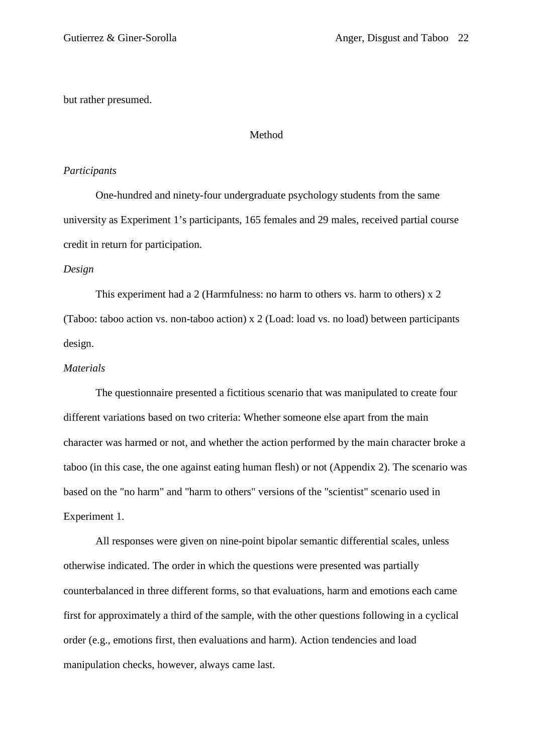but rather presumed.

## Method

#### *Participants*

One-hundred and ninety-four undergraduate psychology students from the same university as Experiment 1's participants, 165 females and 29 males, received partial course credit in return for participation.

# *Design*

This experiment had a 2 (Harmfulness: no harm to others vs. harm to others) x 2 (Taboo: taboo action vs. non-taboo action) x 2 (Load: load vs. no load) between participants design.

# *Materials*

The questionnaire presented a fictitious scenario that was manipulated to create four different variations based on two criteria: Whether someone else apart from the main character was harmed or not, and whether the action performed by the main character broke a taboo (in this case, the one against eating human flesh) or not (Appendix 2). The scenario was based on the "no harm" and "harm to others" versions of the "scientist" scenario used in Experiment 1.

All responses were given on nine-point bipolar semantic differential scales, unless otherwise indicated. The order in which the questions were presented was partially counterbalanced in three different forms, so that evaluations, harm and emotions each came first for approximately a third of the sample, with the other questions following in a cyclical order (e.g., emotions first, then evaluations and harm). Action tendencies and load manipulation checks, however, always came last.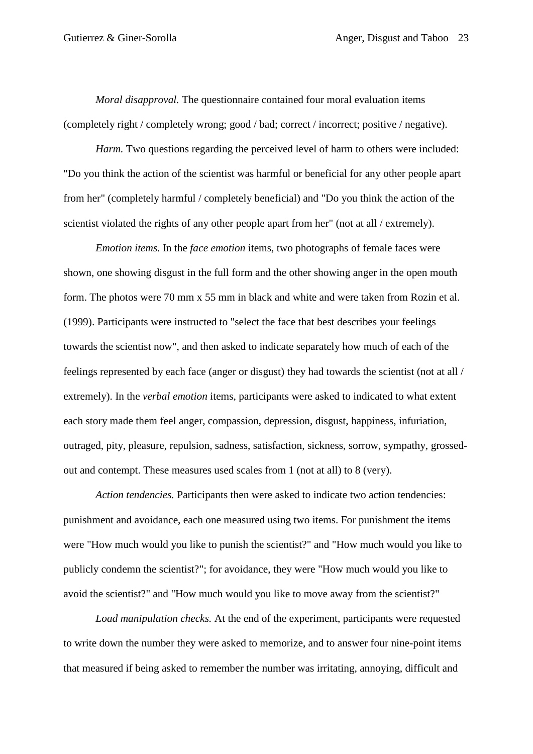*Moral disapproval.* The questionnaire contained four moral evaluation items (completely right / completely wrong; good / bad; correct / incorrect; positive / negative).

*Harm.* Two questions regarding the perceived level of harm to others were included: "Do you think the action of the scientist was harmful or beneficial for any other people apart from her" (completely harmful / completely beneficial) and "Do you think the action of the scientist violated the rights of any other people apart from her" (not at all / extremely).

*Emotion items.* In the *face emotion* items, two photographs of female faces were shown, one showing disgust in the full form and the other showing anger in the open mouth form. The photos were 70 mm x 55 mm in black and white and were taken from Rozin et al. (1999). Participants were instructed to "select the face that best describes your feelings towards the scientist now", and then asked to indicate separately how much of each of the feelings represented by each face (anger or disgust) they had towards the scientist (not at all / extremely). In the *verbal emotion* items, participants were asked to indicated to what extent each story made them feel anger, compassion, depression, disgust, happiness, infuriation, outraged, pity, pleasure, repulsion, sadness, satisfaction, sickness, sorrow, sympathy, grossedout and contempt. These measures used scales from 1 (not at all) to 8 (very).

*Action tendencies.* Participants then were asked to indicate two action tendencies: punishment and avoidance, each one measured using two items. For punishment the items were "How much would you like to punish the scientist?" and "How much would you like to publicly condemn the scientist?"; for avoidance, they were "How much would you like to avoid the scientist?" and "How much would you like to move away from the scientist?"

*Load manipulation checks.* At the end of the experiment, participants were requested to write down the number they were asked to memorize, and to answer four nine-point items that measured if being asked to remember the number was irritating, annoying, difficult and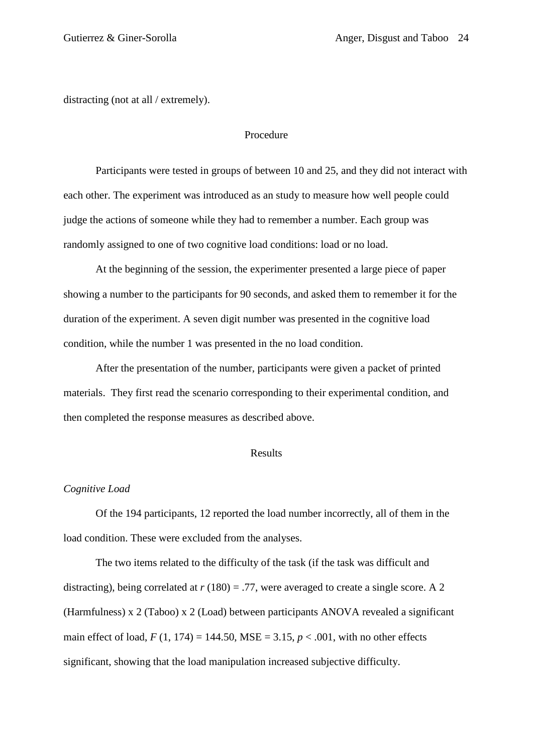distracting (not at all / extremely).

# Procedure

Participants were tested in groups of between 10 and 25, and they did not interact with each other. The experiment was introduced as an study to measure how well people could judge the actions of someone while they had to remember a number. Each group was randomly assigned to one of two cognitive load conditions: load or no load.

At the beginning of the session, the experimenter presented a large piece of paper showing a number to the participants for 90 seconds, and asked them to remember it for the duration of the experiment. A seven digit number was presented in the cognitive load condition, while the number 1 was presented in the no load condition.

After the presentation of the number, participants were given a packet of printed materials. They first read the scenario corresponding to their experimental condition, and then completed the response measures as described above.

#### Results

# *Cognitive Load*

Of the 194 participants, 12 reported the load number incorrectly, all of them in the load condition. These were excluded from the analyses.

The two items related to the difficulty of the task (if the task was difficult and distracting), being correlated at  $r(180) = .77$ , were averaged to create a single score. A 2 (Harmfulness) x 2 (Taboo) x 2 (Load) between participants ANOVA revealed a significant main effect of load,  $F(1, 174) = 144.50$ ,  $MSE = 3.15$ ,  $p < .001$ , with no other effects significant, showing that the load manipulation increased subjective difficulty.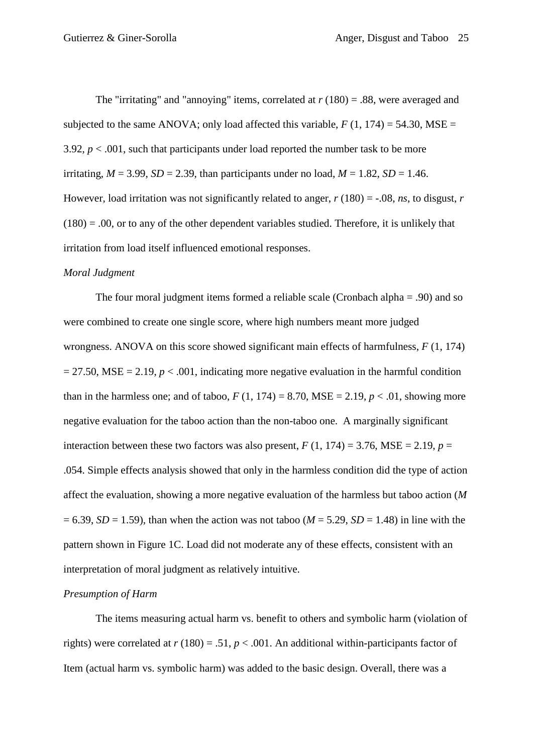The "irritating" and "annoying" items, correlated at *r* (180) = .88, were averaged and subjected to the same ANOVA; only load affected this variable,  $F(1, 174) = 54.30$ , MSE = 3.92,  $p < .001$ , such that participants under load reported the number task to be more irritating,  $M = 3.99$ ,  $SD = 2.39$ , than participants under no load,  $M = 1.82$ ,  $SD = 1.46$ . However, load irritation was not significantly related to anger,  $r(180) = -0.08$ , *ns*, to disgust, *r*  $(180) = .00$ , or to any of the other dependent variables studied. Therefore, it is unlikely that irritation from load itself influenced emotional responses.

#### *Moral Judgment*

The four moral judgment items formed a reliable scale (Cronbach alpha = .90) and so were combined to create one single score, where high numbers meant more judged wrongness. ANOVA on this score showed significant main effects of harmfulness, *F* (1, 174)  $= 27.50$ , MSE  $= 2.19$ ,  $p < .001$ , indicating more negative evaluation in the harmful condition than in the harmless one; and of taboo,  $F(1, 174) = 8.70$ ,  $MSE = 2.19$ ,  $p < .01$ , showing more negative evaluation for the taboo action than the non-taboo one. A marginally significant interaction between these two factors was also present,  $F(1, 174) = 3.76$ , MSE = 2.19,  $p =$ .054. Simple effects analysis showed that only in the harmless condition did the type of action affect the evaluation, showing a more negative evaluation of the harmless but taboo action (*M*  $= 6.39$ , *SD* = 1.59), than when the action was not taboo (*M* = 5.29, *SD* = 1.48) in line with the pattern shown in Figure 1C. Load did not moderate any of these effects, consistent with an interpretation of moral judgment as relatively intuitive.

# *Presumption of Harm*

The items measuring actual harm vs. benefit to others and symbolic harm (violation of rights) were correlated at  $r(180) = .51$ ,  $p < .001$ . An additional within-participants factor of Item (actual harm vs. symbolic harm) was added to the basic design. Overall, there was a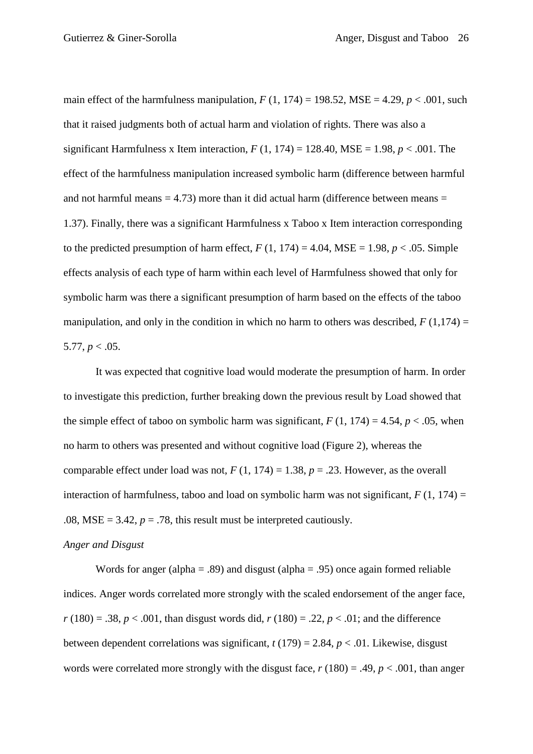main effect of the harmfulness manipulation,  $F(1, 174) = 198.52$ ,  $MSE = 4.29$ ,  $p < .001$ , such that it raised judgments both of actual harm and violation of rights. There was also a significant Harmfulness x Item interaction,  $F(1, 174) = 128.40$ , MSE = 1.98,  $p < .001$ . The effect of the harmfulness manipulation increased symbolic harm (difference between harmful and not harmful means  $= 4.73$ ) more than it did actual harm (difference between means  $=$ 1.37). Finally, there was a significant Harmfulness x Taboo x Item interaction corresponding to the predicted presumption of harm effect,  $F(1, 174) = 4.04$ ,  $MSE = 1.98$ ,  $p < .05$ . Simple effects analysis of each type of harm within each level of Harmfulness showed that only for symbolic harm was there a significant presumption of harm based on the effects of the taboo manipulation, and only in the condition in which no harm to others was described,  $F(1,174) =$ 5.77,  $p < .05$ .

It was expected that cognitive load would moderate the presumption of harm. In order to investigate this prediction, further breaking down the previous result by Load showed that the simple effect of taboo on symbolic harm was significant,  $F(1, 174) = 4.54$ ,  $p < .05$ , when no harm to others was presented and without cognitive load (Figure 2), whereas the comparable effect under load was not,  $F(1, 174) = 1.38$ ,  $p = .23$ . However, as the overall interaction of harmfulness, taboo and load on symbolic harm was not significant,  $F(1, 174) =$ .08, MSE =  $3.42$ ,  $p = .78$ , this result must be interpreted cautiously.

# *Anger and Disgust*

Words for anger (alpha = .89) and disgust (alpha = .95) once again formed reliable indices. Anger words correlated more strongly with the scaled endorsement of the anger face,  $r(180) = .38, p < .001$ , than disgust words did,  $r(180) = .22, p < .01$ ; and the difference between dependent correlations was significant,  $t(179) = 2.84$ ,  $p < .01$ . Likewise, disgust words were correlated more strongly with the disgust face,  $r(180) = .49$ ,  $p < .001$ , than anger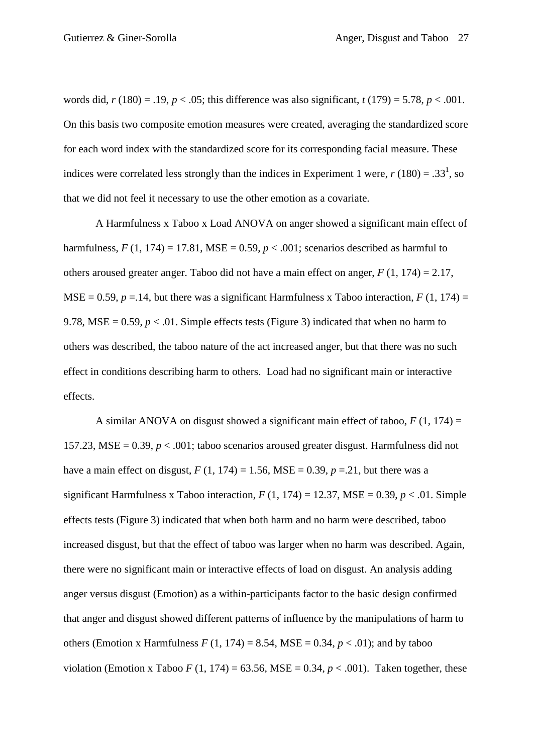words did,  $r(180) = .19$ ,  $p < .05$ ; this difference was also significant,  $t(179) = 5.78$ ,  $p < .001$ . On this basis two composite emotion measures were created, averaging the standardized score for each word index with the standardized score for its corresponding facial measure. These indices were correlated less strongly than the indices in Experiment 1 were,  $r(180) = .33<sup>1</sup>$ , so that we did not feel it necessary to use the other emotion as a covariate.

A Harmfulness x Taboo x Load ANOVA on anger showed a significant main effect of harmfulness,  $F(1, 174) = 17.81$ , MSE = 0.59,  $p < .001$ ; scenarios described as harmful to others aroused greater anger. Taboo did not have a main effect on anger, *F* (1, 174) = 2.17,  $MSE = 0.59$ ,  $p = 14$ , but there was a significant Harmfulness x Taboo interaction,  $F(1, 174) =$ 9.78, MSE =  $0.59$ ,  $p < 0.01$ . Simple effects tests (Figure 3) indicated that when no harm to others was described, the taboo nature of the act increased anger, but that there was no such effect in conditions describing harm to others. Load had no significant main or interactive effects.

A similar ANOVA on disgust showed a significant main effect of taboo,  $F(1, 174) =$ 157.23, MSE =  $0.39$ ,  $p < .001$ ; taboo scenarios aroused greater disgust. Harmfulness did not have a main effect on disgust,  $F(1, 174) = 1.56$ ,  $MSE = 0.39$ ,  $p = 21$ , but there was a significant Harmfulness x Taboo interaction,  $F(1, 174) = 12.37$ , MSE = 0.39,  $p < .01$ . Simple effects tests (Figure 3) indicated that when both harm and no harm were described, taboo increased disgust, but that the effect of taboo was larger when no harm was described. Again, there were no significant main or interactive effects of load on disgust. An analysis adding anger versus disgust (Emotion) as a within-participants factor to the basic design confirmed that anger and disgust showed different patterns of influence by the manipulations of harm to others (Emotion x Harmfulness  $F(1, 174) = 8.54$ , MSE = 0.34,  $p < .01$ ); and by taboo violation (Emotion x Taboo  $F(1, 174) = 63.56$ , MSE = 0.34,  $p < .001$ ). Taken together, these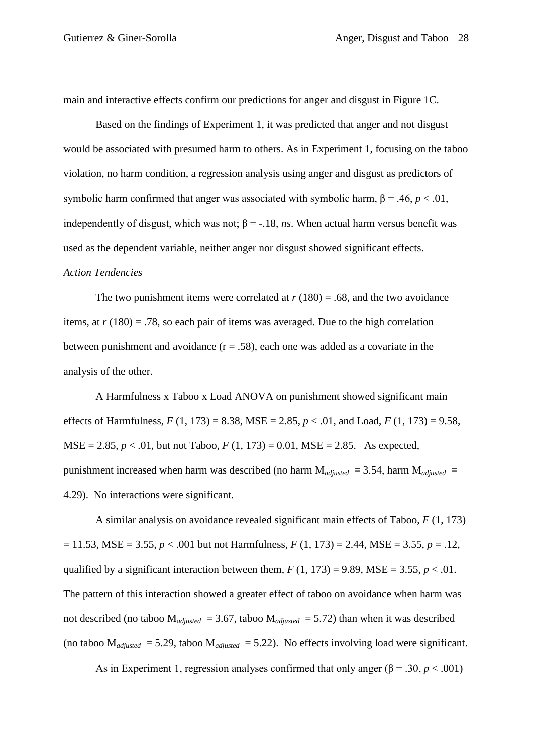main and interactive effects confirm our predictions for anger and disgust in Figure 1C.

Based on the findings of Experiment 1, it was predicted that anger and not disgust would be associated with presumed harm to others. As in Experiment 1, focusing on the taboo violation, no harm condition, a regression analysis using anger and disgust as predictors of symbolic harm confirmed that anger was associated with symbolic harm,  $\beta = .46$ ,  $p < .01$ , independently of disgust, which was not;  $\beta$  = -.18, *ns*. When actual harm versus benefit was used as the dependent variable, neither anger nor disgust showed significant effects. *Action Tendencies*

The two punishment items were correlated at  $r(180) = .68$ , and the two avoidance items, at  $r(180) = .78$ , so each pair of items was averaged. Due to the high correlation between punishment and avoidance  $(r = .58)$ , each one was added as a covariate in the analysis of the other.

A Harmfulness x Taboo x Load ANOVA on punishment showed significant main effects of Harmfulness,  $F(1, 173) = 8.38$ , MSE = 2.85,  $p < .01$ , and Load,  $F(1, 173) = 9.58$ ,  $MSE = 2.85, p < .01$ , but not Taboo,  $F(1, 173) = 0.01$ ,  $MSE = 2.85$ . As expected, punishment increased when harm was described (no harm M*adjusted* = 3.54, harm M*adjusted* = 4.29). No interactions were significant.

A similar analysis on avoidance revealed significant main effects of Taboo, *F* (1, 173)  $= 11.53$ , MSE = 3.55,  $p < .001$  but not Harmfulness,  $F(1, 173) = 2.44$ , MSE = 3.55,  $p = .12$ , qualified by a significant interaction between them,  $F(1, 173) = 9.89$ , MSE = 3.55,  $p < .01$ . The pattern of this interaction showed a greater effect of taboo on avoidance when harm was not described (no taboo  $M_{adjusted} = 3.67$ , taboo  $M_{adjusted} = 5.72$ ) than when it was described (no taboo M*adjusted* = 5.29, taboo M*adjusted* = 5.22). No effects involving load were significant.

As in Experiment 1, regression analyses confirmed that only anger  $(\beta = .30, p < .001)$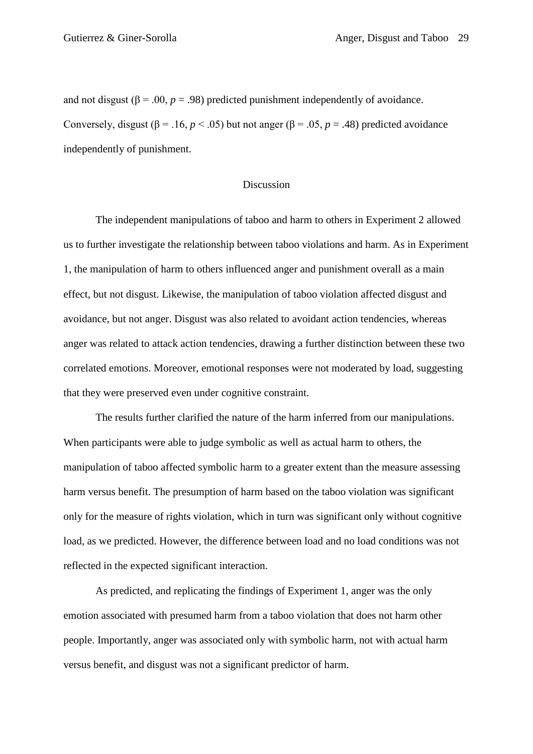and not disgust ( $\beta$  = .00,  $p$  = .98) predicted punishment independently of avoidance. Conversely, disgust ( $\beta$  = .16, *p* < .05) but not anger ( $\beta$  = .05, *p* = .48) predicted avoidance independently of punishment.

# Discussion

The independent manipulations of taboo and harm to others in Experiment 2 allowed us to further investigate the relationship between taboo violations and harm. As in Experiment 1, the manipulation of harm to others influenced anger and punishment overall as a main effect, but not disgust. Likewise, the manipulation of taboo violation affected disgust and avoidance, but not anger. Disgust was also related to avoidant action tendencies, whereas anger was related to attack action tendencies, drawing a further distinction between these two correlated emotions. Moreover, emotional responses were not moderated by load, suggesting that they were preserved even under cognitive constraint.

The results further clarified the nature of the harm inferred from our manipulations. When participants were able to judge symbolic as well as actual harm to others, the manipulation of taboo affected symbolic harm to a greater extent than the measure assessing harm versus benefit. The presumption of harm based on the taboo violation was significant only for the measure of rights violation, which in turn was significant only without cognitive load, as we predicted. However, the difference between load and no load conditions was not reflected in the expected significant interaction.

As predicted, and replicating the findings of Experiment 1, anger was the only emotion associated with presumed harm from a taboo violation that does not harm other people. Importantly, anger was associated only with symbolic harm, not with actual harm versus benefit, and disgust was not a significant predictor of harm.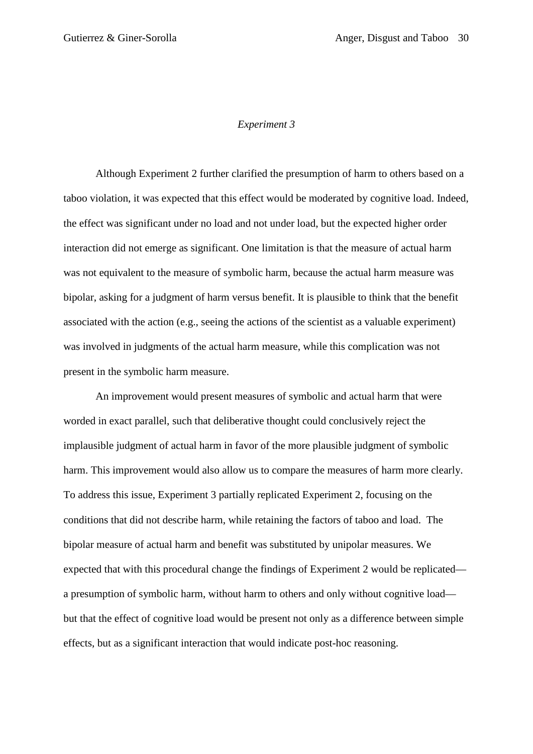#### *Experiment 3*

Although Experiment 2 further clarified the presumption of harm to others based on a taboo violation, it was expected that this effect would be moderated by cognitive load. Indeed, the effect was significant under no load and not under load, but the expected higher order interaction did not emerge as significant. One limitation is that the measure of actual harm was not equivalent to the measure of symbolic harm, because the actual harm measure was bipolar, asking for a judgment of harm versus benefit. It is plausible to think that the benefit associated with the action (e.g., seeing the actions of the scientist as a valuable experiment) was involved in judgments of the actual harm measure, while this complication was not present in the symbolic harm measure.

An improvement would present measures of symbolic and actual harm that were worded in exact parallel, such that deliberative thought could conclusively reject the implausible judgment of actual harm in favor of the more plausible judgment of symbolic harm. This improvement would also allow us to compare the measures of harm more clearly. To address this issue, Experiment 3 partially replicated Experiment 2, focusing on the conditions that did not describe harm, while retaining the factors of taboo and load. The bipolar measure of actual harm and benefit was substituted by unipolar measures. We expected that with this procedural change the findings of Experiment 2 would be replicated a presumption of symbolic harm, without harm to others and only without cognitive load but that the effect of cognitive load would be present not only as a difference between simple effects, but as a significant interaction that would indicate post-hoc reasoning.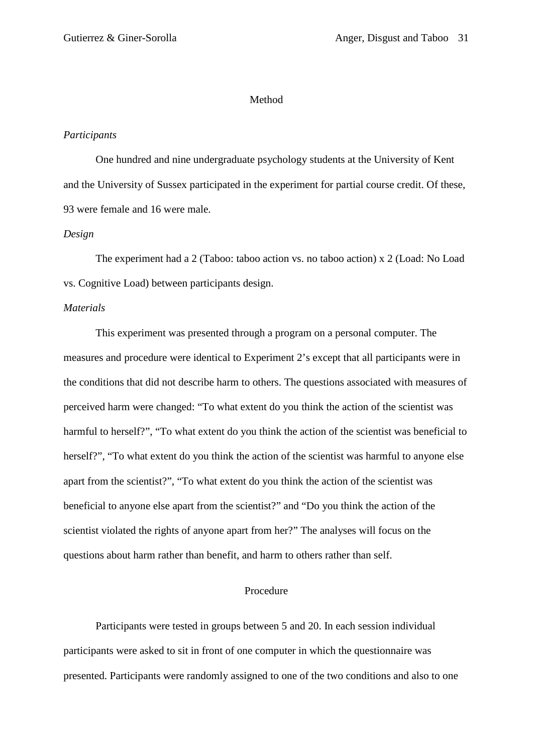#### Method

#### *Participants*

One hundred and nine undergraduate psychology students at the University of Kent and the University of Sussex participated in the experiment for partial course credit. Of these, 93 were female and 16 were male.

#### *Design*

The experiment had a 2 (Taboo: taboo action vs. no taboo action) x 2 (Load: No Load vs. Cognitive Load) between participants design.

#### *Materials*

This experiment was presented through a program on a personal computer. The measures and procedure were identical to Experiment 2's except that all participants were in the conditions that did not describe harm to others. The questions associated with measures of perceived harm were changed: "To what extent do you think the action of the scientist was harmful to herself?", "To what extent do you think the action of the scientist was beneficial to herself?", "To what extent do you think the action of the scientist was harmful to anyone else apart from the scientist?", "To what extent do you think the action of the scientist was beneficial to anyone else apart from the scientist?" and "Do you think the action of the scientist violated the rights of anyone apart from her?" The analyses will focus on the questions about harm rather than benefit, and harm to others rather than self.

#### Procedure

Participants were tested in groups between 5 and 20. In each session individual participants were asked to sit in front of one computer in which the questionnaire was presented. Participants were randomly assigned to one of the two conditions and also to one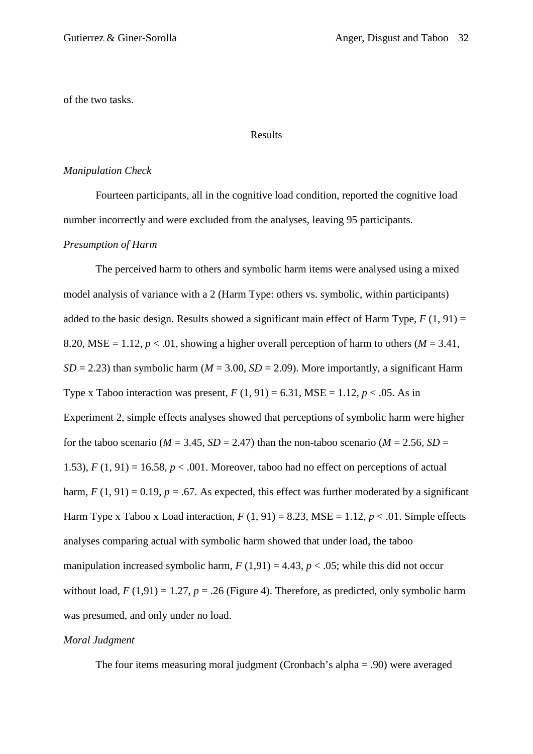of the two tasks.

## Results

#### *Manipulation Check*

Fourteen participants, all in the cognitive load condition, reported the cognitive load number incorrectly and were excluded from the analyses, leaving 95 participants.

#### *Presumption of Harm*

The perceived harm to others and symbolic harm items were analysed using a mixed model analysis of variance with a 2 (Harm Type: others vs. symbolic, within participants) added to the basic design. Results showed a significant main effect of Harm Type,  $F(1, 91) =$ 8.20, MSE = 1.12,  $p < 0.01$ , showing a higher overall perception of harm to others ( $M = 3.41$ ,  $SD = 2.23$ ) than symbolic harm ( $M = 3.00$ ,  $SD = 2.09$ ). More importantly, a significant Harm Type x Taboo interaction was present,  $F(1, 91) = 6.31$ , MSE = 1.12,  $p < .05$ . As in Experiment 2, simple effects analyses showed that perceptions of symbolic harm were higher for the taboo scenario ( $M = 3.45$ ,  $SD = 2.47$ ) than the non-taboo scenario ( $M = 2.56$ ,  $SD = 2.47$ ) 1.53),  $F(1, 91) = 16.58$ ,  $p < .001$ . Moreover, taboo had no effect on perceptions of actual harm,  $F(1, 91) = 0.19$ ,  $p = .67$ . As expected, this effect was further moderated by a significant Harm Type x Taboo x Load interaction,  $F(1, 91) = 8.23$ , MSE = 1.12,  $p < .01$ . Simple effects analyses comparing actual with symbolic harm showed that under load, the taboo manipulation increased symbolic harm,  $F(1,91) = 4.43$ ,  $p < .05$ ; while this did not occur without load,  $F(1,91) = 1.27$ ,  $p = .26$  (Figure 4). Therefore, as predicted, only symbolic harm was presumed, and only under no load.

#### *Moral Judgment*

The four items measuring moral judgment (Cronbach's alpha = .90) were averaged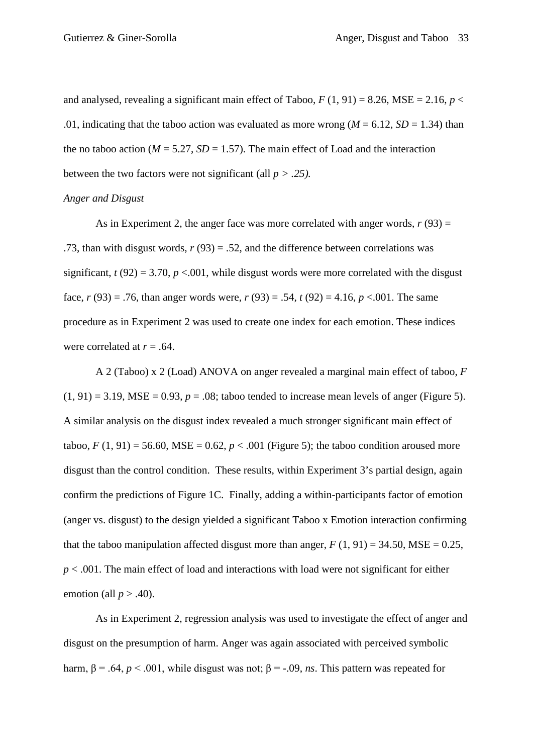and analysed, revealing a significant main effect of Taboo,  $F(1, 91) = 8.26$ , MSE = 2.16,  $p <$ .01, indicating that the taboo action was evaluated as more wrong  $(M = 6.12, SD = 1.34)$  than the no taboo action ( $M = 5.27$ ,  $SD = 1.57$ ). The main effect of Load and the interaction between the two factors were not significant (all *p > .25).*

# *Anger and Disgust*

As in Experiment 2, the anger face was more correlated with anger words,  $r(93) =$ .73, than with disgust words,  $r(93) = .52$ , and the difference between correlations was significant,  $t(92) = 3.70$ ,  $p < .001$ , while disgust words were more correlated with the disgust face,  $r(93) = .76$ , than anger words were,  $r(93) = .54$ ,  $t(92) = 4.16$ ,  $p < .001$ . The same procedure as in Experiment 2 was used to create one index for each emotion. These indices were correlated at *r* = .64.

A 2 (Taboo) x 2 (Load) ANOVA on anger revealed a marginal main effect of taboo, *F*  $(1, 91) = 3.19$ , MSE = 0.93,  $p = .08$ ; taboo tended to increase mean levels of anger (Figure 5). A similar analysis on the disgust index revealed a much stronger significant main effect of taboo,  $F(1, 91) = 56.60$ , MSE = 0.62,  $p < .001$  (Figure 5); the taboo condition aroused more disgust than the control condition. These results, within Experiment 3's partial design, again confirm the predictions of Figure 1C. Finally, adding a within-participants factor of emotion (anger vs. disgust) to the design yielded a significant Taboo x Emotion interaction confirming that the taboo manipulation affected disgust more than anger,  $F(1, 91) = 34.50$ , MSE = 0.25, *p* < .001. The main effect of load and interactions with load were not significant for either emotion (all  $p > .40$ ).

As in Experiment 2, regression analysis was used to investigate the effect of anger and disgust on the presumption of harm. Anger was again associated with perceived symbolic harm,  $\beta$  = .64, *p* < .001, while disgust was not;  $\beta$  = -.09, *ns*. This pattern was repeated for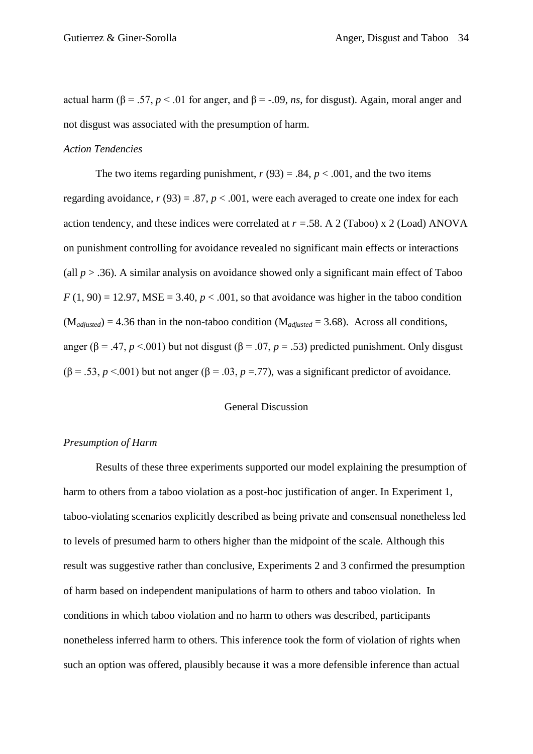actual harm ( $\beta$  = .57, *p* < .01 for anger, and  $\beta$  = -.09, *ns*, for disgust). Again, moral anger and not disgust was associated with the presumption of harm.

#### *Action Tendencies*

The two items regarding punishment,  $r(93) = .84$ ,  $p < .001$ , and the two items regarding avoidance,  $r(93) = .87$ ,  $p < .001$ , were each averaged to create one index for each action tendency, and these indices were correlated at  $r = .58$ . A 2 (Taboo) x 2 (Load) ANOVA on punishment controlling for avoidance revealed no significant main effects or interactions (all  $p > .36$ ). A similar analysis on avoidance showed only a significant main effect of Taboo  $F(1, 90) = 12.97$ , MSE = 3.40,  $p < .001$ , so that avoidance was higher in the taboo condition  $(M_{adjusted}) = 4.36$  than in the non-taboo condition  $(M_{adjusted} = 3.68)$ . Across all conditions, anger ( $\beta$  = .47, *p* <.001) but not disgust ( $\beta$  = .07, *p* = .53) predicted punishment. Only disgust  $(\beta = .53, p < .001)$  but not anger  $(\beta = .03, p = .77)$ , was a significant predictor of avoidance.

# General Discussion

#### *Presumption of Harm*

Results of these three experiments supported our model explaining the presumption of harm to others from a taboo violation as a post-hoc justification of anger. In Experiment 1, taboo-violating scenarios explicitly described as being private and consensual nonetheless led to levels of presumed harm to others higher than the midpoint of the scale. Although this result was suggestive rather than conclusive, Experiments 2 and 3 confirmed the presumption of harm based on independent manipulations of harm to others and taboo violation. In conditions in which taboo violation and no harm to others was described, participants nonetheless inferred harm to others. This inference took the form of violation of rights when such an option was offered, plausibly because it was a more defensible inference than actual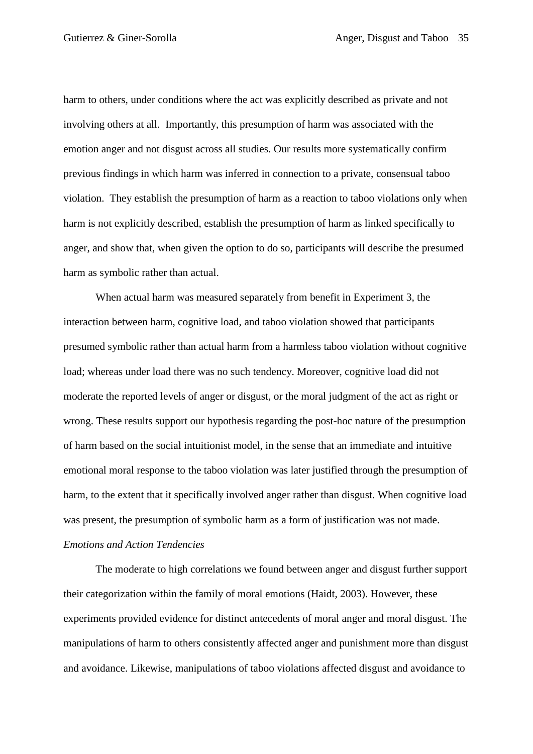harm to others, under conditions where the act was explicitly described as private and not involving others at all. Importantly, this presumption of harm was associated with the emotion anger and not disgust across all studies. Our results more systematically confirm previous findings in which harm was inferred in connection to a private, consensual taboo violation. They establish the presumption of harm as a reaction to taboo violations only when harm is not explicitly described, establish the presumption of harm as linked specifically to anger, and show that, when given the option to do so, participants will describe the presumed harm as symbolic rather than actual.

When actual harm was measured separately from benefit in Experiment 3, the interaction between harm, cognitive load, and taboo violation showed that participants presumed symbolic rather than actual harm from a harmless taboo violation without cognitive load; whereas under load there was no such tendency. Moreover, cognitive load did not moderate the reported levels of anger or disgust, or the moral judgment of the act as right or wrong. These results support our hypothesis regarding the post-hoc nature of the presumption of harm based on the social intuitionist model, in the sense that an immediate and intuitive emotional moral response to the taboo violation was later justified through the presumption of harm, to the extent that it specifically involved anger rather than disgust. When cognitive load was present, the presumption of symbolic harm as a form of justification was not made. *Emotions and Action Tendencies* 

The moderate to high correlations we found between anger and disgust further support their categorization within the family of moral emotions (Haidt, 2003). However, these experiments provided evidence for distinct antecedents of moral anger and moral disgust. The manipulations of harm to others consistently affected anger and punishment more than disgust and avoidance. Likewise, manipulations of taboo violations affected disgust and avoidance to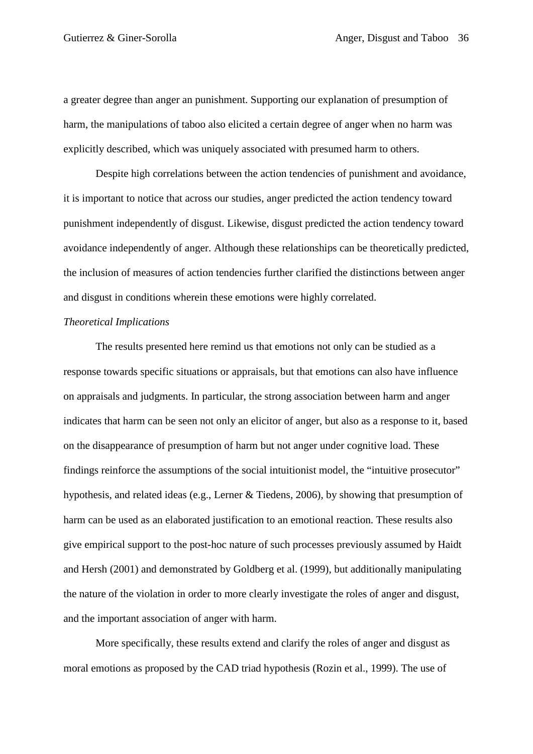a greater degree than anger an punishment. Supporting our explanation of presumption of harm, the manipulations of taboo also elicited a certain degree of anger when no harm was explicitly described, which was uniquely associated with presumed harm to others.

Despite high correlations between the action tendencies of punishment and avoidance, it is important to notice that across our studies, anger predicted the action tendency toward punishment independently of disgust. Likewise, disgust predicted the action tendency toward avoidance independently of anger. Although these relationships can be theoretically predicted, the inclusion of measures of action tendencies further clarified the distinctions between anger and disgust in conditions wherein these emotions were highly correlated.

#### *Theoretical Implications*

The results presented here remind us that emotions not only can be studied as a response towards specific situations or appraisals, but that emotions can also have influence on appraisals and judgments. In particular, the strong association between harm and anger indicates that harm can be seen not only an elicitor of anger, but also as a response to it, based on the disappearance of presumption of harm but not anger under cognitive load. These findings reinforce the assumptions of the social intuitionist model, the "intuitive prosecutor" hypothesis, and related ideas (e.g., Lerner & Tiedens, 2006), by showing that presumption of harm can be used as an elaborated justification to an emotional reaction. These results also give empirical support to the post-hoc nature of such processes previously assumed by Haidt and Hersh (2001) and demonstrated by Goldberg et al. (1999), but additionally manipulating the nature of the violation in order to more clearly investigate the roles of anger and disgust, and the important association of anger with harm.

More specifically, these results extend and clarify the roles of anger and disgust as moral emotions as proposed by the CAD triad hypothesis (Rozin et al., 1999). The use of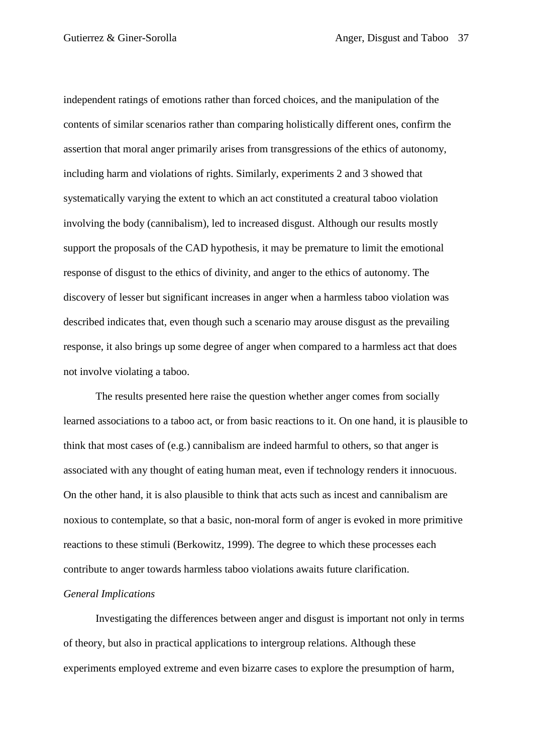independent ratings of emotions rather than forced choices, and the manipulation of the contents of similar scenarios rather than comparing holistically different ones, confirm the assertion that moral anger primarily arises from transgressions of the ethics of autonomy, including harm and violations of rights. Similarly, experiments 2 and 3 showed that systematically varying the extent to which an act constituted a creatural taboo violation involving the body (cannibalism), led to increased disgust. Although our results mostly support the proposals of the CAD hypothesis, it may be premature to limit the emotional response of disgust to the ethics of divinity, and anger to the ethics of autonomy. The discovery of lesser but significant increases in anger when a harmless taboo violation was described indicates that, even though such a scenario may arouse disgust as the prevailing response, it also brings up some degree of anger when compared to a harmless act that does not involve violating a taboo.

The results presented here raise the question whether anger comes from socially learned associations to a taboo act, or from basic reactions to it. On one hand, it is plausible to think that most cases of (e.g.) cannibalism are indeed harmful to others, so that anger is associated with any thought of eating human meat, even if technology renders it innocuous. On the other hand, it is also plausible to think that acts such as incest and cannibalism are noxious to contemplate, so that a basic, non-moral form of anger is evoked in more primitive reactions to these stimuli (Berkowitz, 1999). The degree to which these processes each contribute to anger towards harmless taboo violations awaits future clarification.

# *General Implications*

Investigating the differences between anger and disgust is important not only in terms of theory, but also in practical applications to intergroup relations. Although these experiments employed extreme and even bizarre cases to explore the presumption of harm,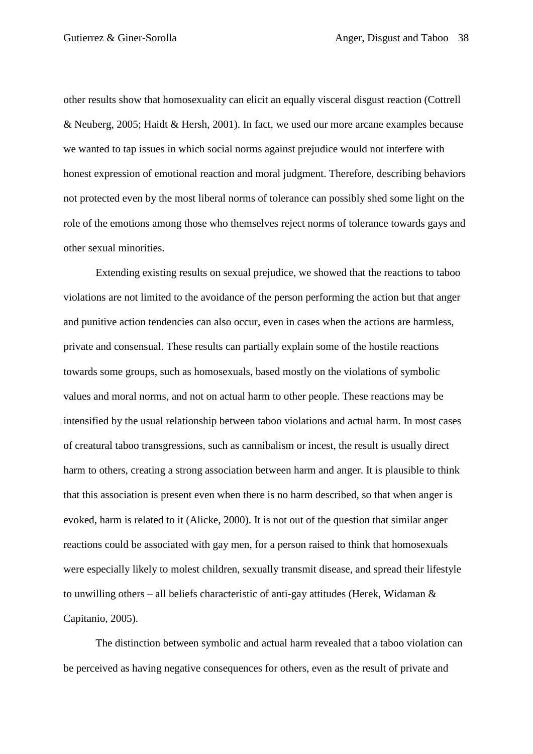other results show that homosexuality can elicit an equally visceral disgust reaction (Cottrell & Neuberg, 2005; Haidt & Hersh, 2001). In fact, we used our more arcane examples because we wanted to tap issues in which social norms against prejudice would not interfere with honest expression of emotional reaction and moral judgment. Therefore, describing behaviors not protected even by the most liberal norms of tolerance can possibly shed some light on the role of the emotions among those who themselves reject norms of tolerance towards gays and other sexual minorities.

Extending existing results on sexual prejudice, we showed that the reactions to taboo violations are not limited to the avoidance of the person performing the action but that anger and punitive action tendencies can also occur, even in cases when the actions are harmless, private and consensual. These results can partially explain some of the hostile reactions towards some groups, such as homosexuals, based mostly on the violations of symbolic values and moral norms, and not on actual harm to other people. These reactions may be intensified by the usual relationship between taboo violations and actual harm. In most cases of creatural taboo transgressions, such as cannibalism or incest, the result is usually direct harm to others, creating a strong association between harm and anger. It is plausible to think that this association is present even when there is no harm described, so that when anger is evoked, harm is related to it (Alicke, 2000). It is not out of the question that similar anger reactions could be associated with gay men, for a person raised to think that homosexuals were especially likely to molest children, sexually transmit disease, and spread their lifestyle to unwilling others – all beliefs characteristic of anti-gay attitudes (Herek, Widaman & Capitanio, 2005).

The distinction between symbolic and actual harm revealed that a taboo violation can be perceived as having negative consequences for others, even as the result of private and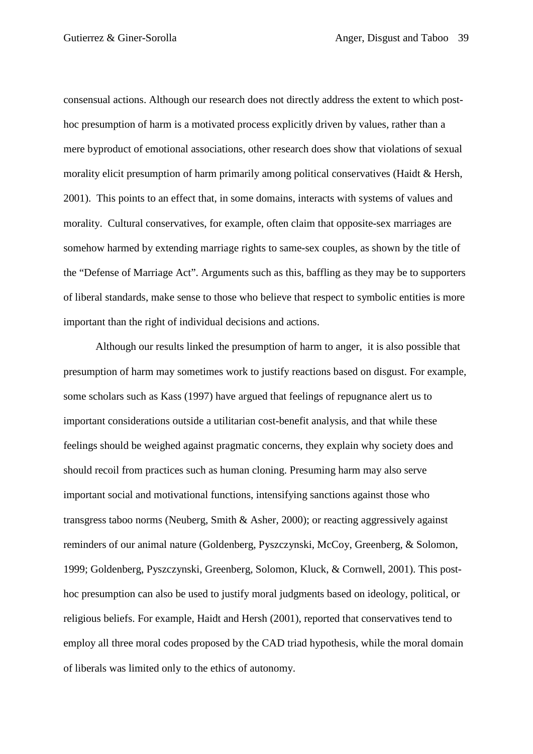consensual actions. Although our research does not directly address the extent to which posthoc presumption of harm is a motivated process explicitly driven by values, rather than a mere byproduct of emotional associations, other research does show that violations of sexual morality elicit presumption of harm primarily among political conservatives (Haidt & Hersh, 2001). This points to an effect that, in some domains, interacts with systems of values and morality. Cultural conservatives, for example, often claim that opposite-sex marriages are somehow harmed by extending marriage rights to same-sex couples, as shown by the title of the "Defense of Marriage Act". Arguments such as this, baffling as they may be to supporters of liberal standards, make sense to those who believe that respect to symbolic entities is more important than the right of individual decisions and actions.

Although our results linked the presumption of harm to anger, it is also possible that presumption of harm may sometimes work to justify reactions based on disgust. For example, some scholars such as Kass (1997) have argued that feelings of repugnance alert us to important considerations outside a utilitarian cost-benefit analysis, and that while these feelings should be weighed against pragmatic concerns, they explain why society does and should recoil from practices such as human cloning. Presuming harm may also serve important social and motivational functions, intensifying sanctions against those who transgress taboo norms (Neuberg, Smith & Asher, 2000); or reacting aggressively against reminders of our animal nature (Goldenberg, Pyszczynski, McCoy, Greenberg, & Solomon, 1999; Goldenberg, Pyszczynski, Greenberg, Solomon, Kluck, & Cornwell, 2001). This posthoc presumption can also be used to justify moral judgments based on ideology, political, or religious beliefs. For example, Haidt and Hersh (2001), reported that conservatives tend to employ all three moral codes proposed by the CAD triad hypothesis, while the moral domain of liberals was limited only to the ethics of autonomy.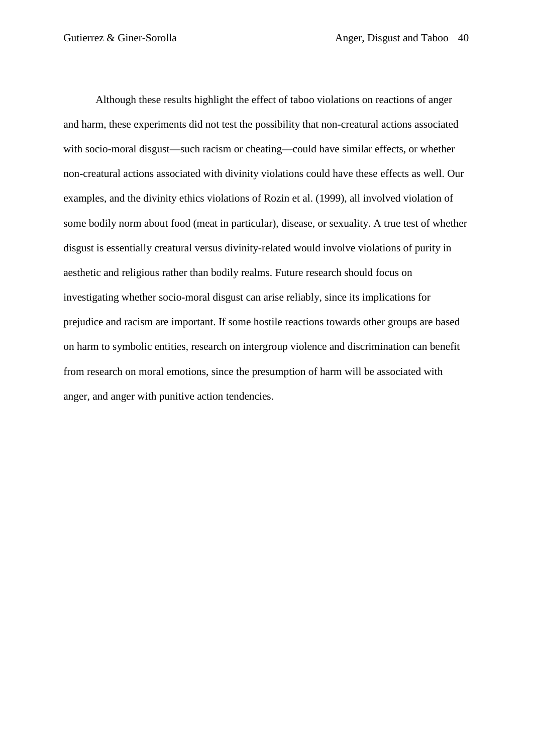Although these results highlight the effect of taboo violations on reactions of anger and harm, these experiments did not test the possibility that non-creatural actions associated with socio-moral disgust—such racism or cheating—could have similar effects, or whether non-creatural actions associated with divinity violations could have these effects as well. Our examples, and the divinity ethics violations of Rozin et al. (1999), all involved violation of some bodily norm about food (meat in particular), disease, or sexuality. A true test of whether disgust is essentially creatural versus divinity-related would involve violations of purity in aesthetic and religious rather than bodily realms. Future research should focus on investigating whether socio-moral disgust can arise reliably, since its implications for prejudice and racism are important. If some hostile reactions towards other groups are based on harm to symbolic entities, research on intergroup violence and discrimination can benefit from research on moral emotions, since the presumption of harm will be associated with anger, and anger with punitive action tendencies.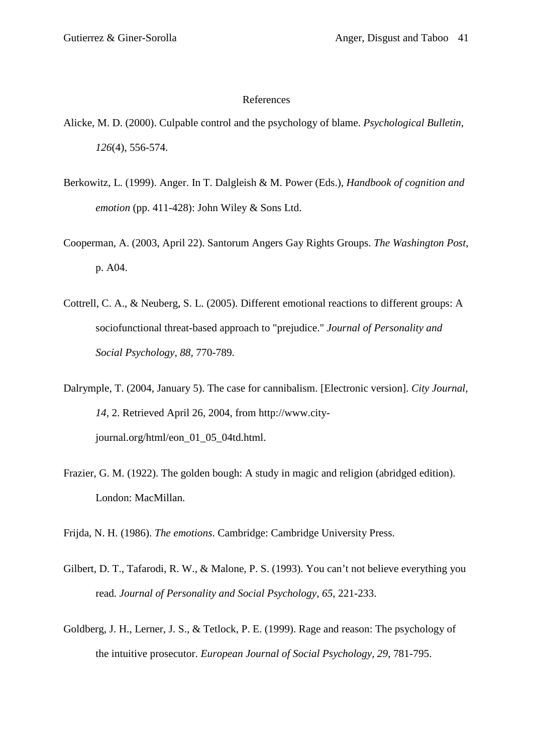#### References

- Alicke, M. D. (2000). Culpable control and the psychology of blame. *Psychological Bulletin, 126*(4), 556-574.
- Berkowitz, L. (1999). Anger. In T. Dalgleish & M. Power (Eds.), *Handbook of cognition and emotion* (pp. 411-428): John Wiley & Sons Ltd.
- Cooperman, A. (2003, April 22). Santorum Angers Gay Rights Groups. *The Washington Post*, p. A04.
- Cottrell, C. A., & Neuberg, S. L. (2005). Different emotional reactions to different groups: A sociofunctional threat-based approach to "prejudice." *Journal of Personality and Social Psychology, 88*, 770-789.
- Dalrymple, T. (2004, January 5). The case for cannibalism. [Electronic version]. *City Journal, 14,* 2. Retrieved April 26, 2004, from http://www.cityjournal.org/html/eon\_01\_05\_04td.html.
- Frazier, G. M. (1922). The golden bough: A study in magic and religion (abridged edition). London: MacMillan.
- Frijda, N. H. (1986). *The emotions*. Cambridge: Cambridge University Press.
- Gilbert, D. T., Tafarodi, R. W., & Malone, P. S. (1993). You can't not believe everything you read. *Journal of Personality and Social Psychology, 65*, 221-233.
- Goldberg, J. H., Lerner, J. S., & Tetlock, P. E. (1999). Rage and reason: The psychology of the intuitive prosecutor. *European Journal of Social Psychology, 29*, 781-795.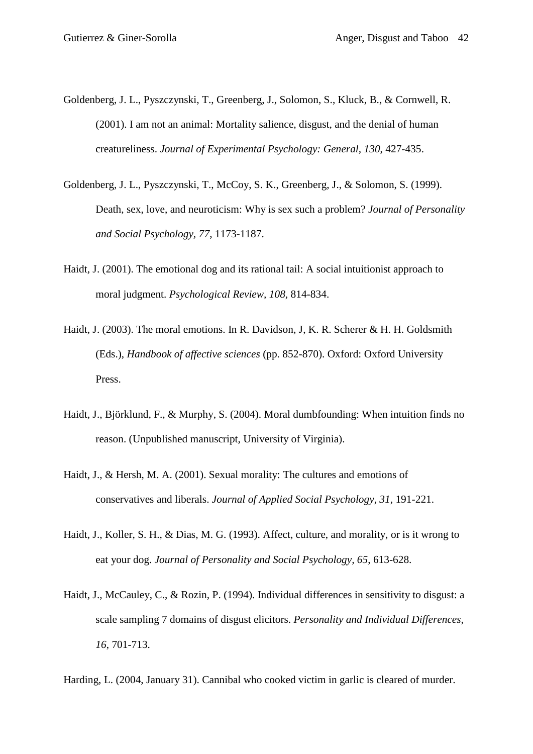- Goldenberg, J. L., Pyszczynski, T., Greenberg, J., Solomon, S., Kluck, B., & Cornwell, R. (2001). I am not an animal: Mortality salience, disgust, and the denial of human creatureliness. *Journal of Experimental Psychology: General, 130*, 427-435.
- Goldenberg, J. L., Pyszczynski, T., McCoy, S. K., Greenberg, J., & Solomon, S. (1999). Death, sex, love, and neuroticism: Why is sex such a problem? *Journal of Personality and Social Psychology, 77*, 1173-1187.
- Haidt, J. (2001). The emotional dog and its rational tail: A social intuitionist approach to moral judgment. *Psychological Review, 108*, 814-834.
- Haidt, J. (2003). The moral emotions. In R. Davidson, J, K. R. Scherer & H. H. Goldsmith (Eds.), *Handbook of affective sciences* (pp. 852-870). Oxford: Oxford University Press.
- Haidt, J., Björklund, F., & Murphy, S. (2004). Moral dumbfounding: When intuition finds no reason. (Unpublished manuscript, University of Virginia).
- Haidt, J., & Hersh, M. A. (2001). Sexual morality: The cultures and emotions of conservatives and liberals. *Journal of Applied Social Psychology, 31*, 191-221.
- Haidt, J., Koller, S. H., & Dias, M. G. (1993). Affect, culture, and morality, or is it wrong to eat your dog. *Journal of Personality and Social Psychology, 65*, 613-628.
- Haidt, J., McCauley, C., & Rozin, P. (1994). Individual differences in sensitivity to disgust: a scale sampling 7 domains of disgust elicitors. *Personality and Individual Differences, 16*, 701-713.
- Harding, L. (2004, January 31). Cannibal who cooked victim in garlic is cleared of murder.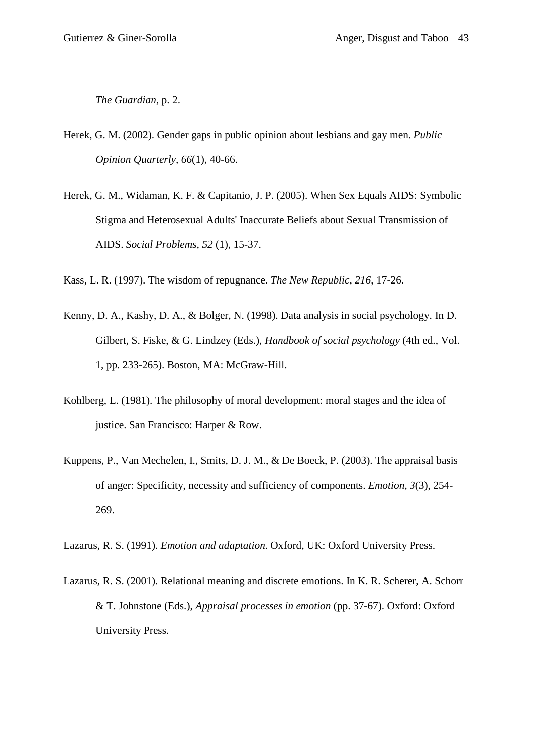*The Guardian*, p. 2.

- Herek, G. M. (2002). Gender gaps in public opinion about lesbians and gay men. *Public Opinion Quarterly, 66*(1), 40-66.
- Herek, G. M., Widaman, K. F. & Capitanio, J. P. (2005). When Sex Equals AIDS: Symbolic Stigma and Heterosexual Adults' Inaccurate Beliefs about Sexual Transmission of AIDS. *Social Problems, 52* (1), 15-37.

Kass, L. R. (1997). The wisdom of repugnance. *The New Republic, 216*, 17-26.

- Kenny, D. A., Kashy, D. A., & Bolger, N. (1998). Data analysis in social psychology. In D. Gilbert, S. Fiske, & G. Lindzey (Eds.), *Handbook of social psychology* (4th ed., Vol. 1, pp. 233-265). Boston, MA: McGraw-Hill.
- Kohlberg, L. (1981). The philosophy of moral development: moral stages and the idea of justice. San Francisco: Harper & Row.
- Kuppens, P., Van Mechelen, I., Smits, D. J. M., & De Boeck, P. (2003). The appraisal basis of anger: Specificity, necessity and sufficiency of components. *Emotion, 3*(3), 254- 269.

Lazarus, R. S. (1991). *Emotion and adaptation.* Oxford, UK: Oxford University Press.

Lazarus, R. S. (2001). Relational meaning and discrete emotions. In K. R. Scherer, A. Schorr & T. Johnstone (Eds.), *Appraisal processes in emotion* (pp. 37-67). Oxford: Oxford University Press.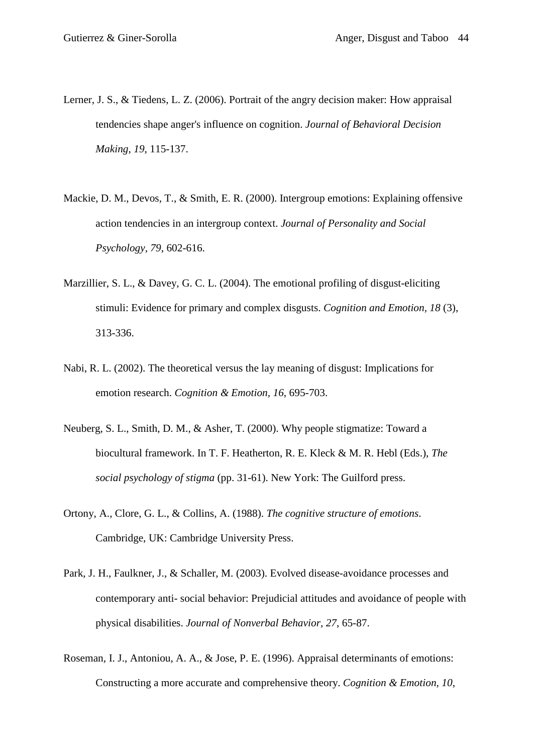- Lerner, J. S., & Tiedens, L. Z. (2006). Portrait of the angry decision maker: How appraisal tendencies shape anger's influence on cognition. *Journal of Behavioral Decision Making, 19*, 115-137.
- Mackie, D. M., Devos, T., & Smith, E. R. (2000). Intergroup emotions: Explaining offensive action tendencies in an intergroup context. *Journal of Personality and Social Psychology, 79*, 602-616.
- Marzillier, S. L., & Davey, G. C. L. (2004). The emotional profiling of disgust-eliciting stimuli: Evidence for primary and complex disgusts. *Cognition and Emotion, 18* (3), 313-336.
- Nabi, R. L. (2002). The theoretical versus the lay meaning of disgust: Implications for emotion research. *Cognition & Emotion, 16*, 695-703.
- Neuberg, S. L., Smith, D. M., & Asher, T. (2000). Why people stigmatize: Toward a biocultural framework. In T. F. Heatherton, R. E. Kleck & M. R. Hebl (Eds.), *The social psychology of stigma* (pp. 31-61). New York: The Guilford press.
- Ortony, A., Clore, G. L., & Collins, A. (1988). *The cognitive structure of emotions*. Cambridge, UK: Cambridge University Press.
- Park, J. H., Faulkner, J., & Schaller, M. (2003). Evolved disease-avoidance processes and contemporary anti- social behavior: Prejudicial attitudes and avoidance of people with physical disabilities. *Journal of Nonverbal Behavior, 27*, 65-87.
- Roseman, I. J., Antoniou, A. A., & Jose, P. E. (1996). Appraisal determinants of emotions: Constructing a more accurate and comprehensive theory. *Cognition & Emotion, 10*,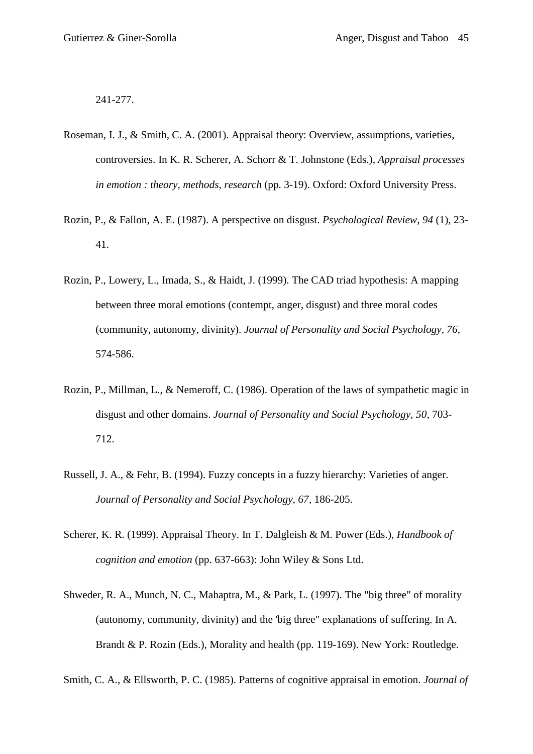241-277.

- Roseman, I. J., & Smith, C. A. (2001). Appraisal theory: Overview, assumptions, varieties, controversies. In K. R. Scherer, A. Schorr & T. Johnstone (Eds.), *Appraisal processes in emotion : theory, methods, research* (pp. 3-19). Oxford: Oxford University Press.
- Rozin, P., & Fallon, A. E. (1987). A perspective on disgust. *Psychological Review, 94* (1), 23- 41.
- Rozin, P., Lowery, L., Imada, S., & Haidt, J. (1999). The CAD triad hypothesis: A mapping between three moral emotions (contempt, anger, disgust) and three moral codes (community, autonomy, divinity). *Journal of Personality and Social Psychology, 76*, 574-586.
- Rozin, P., Millman, L., & Nemeroff, C. (1986). Operation of the laws of sympathetic magic in disgust and other domains. *Journal of Personality and Social Psychology, 50*, 703- 712.
- Russell, J. A., & Fehr, B. (1994). Fuzzy concepts in a fuzzy hierarchy: Varieties of anger. *Journal of Personality and Social Psychology, 67*, 186-205.
- Scherer, K. R. (1999). Appraisal Theory. In T. Dalgleish & M. Power (Eds.), *Handbook of cognition and emotion* (pp. 637-663): John Wiley & Sons Ltd.
- Shweder, R. A., Munch, N. C., Mahaptra, M., & Park, L. (1997). The "big three" of morality (autonomy, community, divinity) and the 'big three" explanations of suffering. In A. Brandt & P. Rozin (Eds.), Morality and health (pp. 119-169). New York: Routledge.

Smith, C. A., & Ellsworth, P. C. (1985). Patterns of cognitive appraisal in emotion. *Journal of*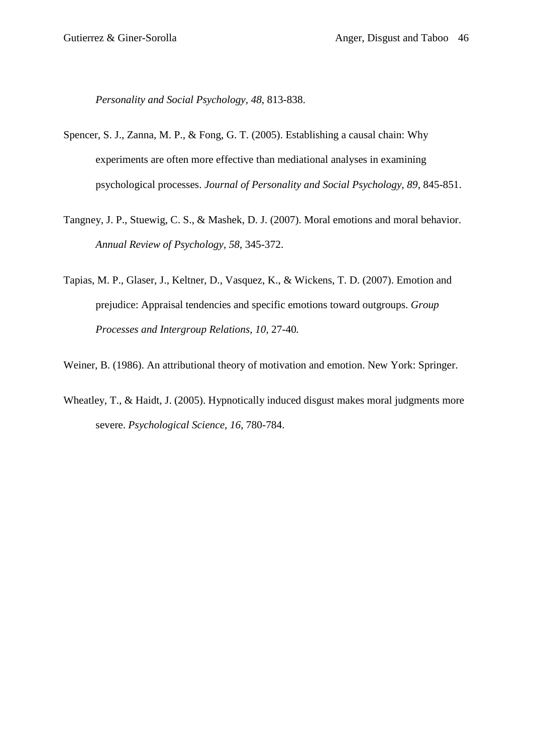*Personality and Social Psychology, 48*, 813-838.

- Spencer, S. J., Zanna, M. P., & Fong, G. T. (2005). Establishing a causal chain: Why experiments are often more effective than mediational analyses in examining psychological processes. *Journal of Personality and Social Psychology, 89*, 845-851.
- Tangney, J. P., Stuewig, C. S., & Mashek, D. J. (2007). Moral emotions and moral behavior. *Annual Review of Psychology, 58*, 345-372.
- Tapias, M. P., Glaser, J., Keltner, D., Vasquez, K., & Wickens, T. D. (2007). Emotion and prejudice: Appraisal tendencies and specific emotions toward outgroups. *Group Processes and Intergroup Relations, 10,* 27-40*.*

Weiner, B. (1986). An attributional theory of motivation and emotion. New York: Springer.

Wheatley, T., & Haidt, J. (2005). Hypnotically induced disgust makes moral judgments more severe. *Psychological Science, 16*, 780-784.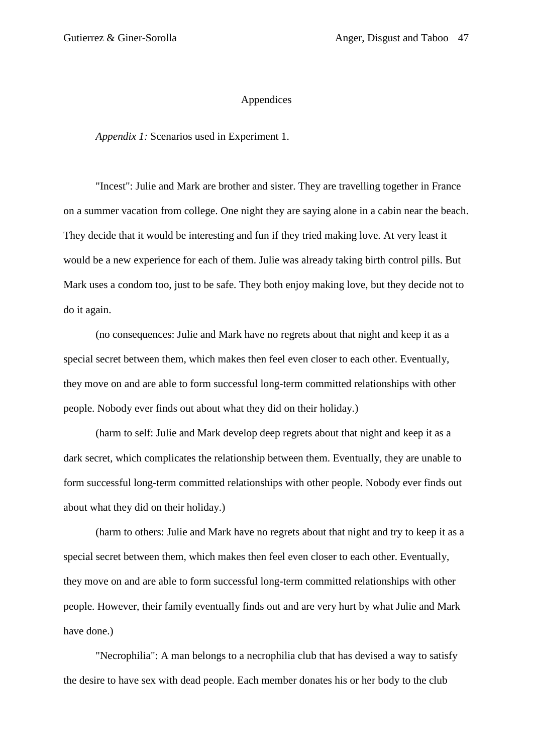#### Appendices

*Appendix 1:* Scenarios used in Experiment 1.

"Incest": Julie and Mark are brother and sister. They are travelling together in France on a summer vacation from college. One night they are saying alone in a cabin near the beach. They decide that it would be interesting and fun if they tried making love. At very least it would be a new experience for each of them. Julie was already taking birth control pills. But Mark uses a condom too, just to be safe. They both enjoy making love, but they decide not to do it again.

(no consequences: Julie and Mark have no regrets about that night and keep it as a special secret between them, which makes then feel even closer to each other. Eventually, they move on and are able to form successful long-term committed relationships with other people. Nobody ever finds out about what they did on their holiday.)

(harm to self: Julie and Mark develop deep regrets about that night and keep it as a dark secret, which complicates the relationship between them. Eventually, they are unable to form successful long-term committed relationships with other people. Nobody ever finds out about what they did on their holiday.)

(harm to others: Julie and Mark have no regrets about that night and try to keep it as a special secret between them, which makes then feel even closer to each other. Eventually, they move on and are able to form successful long-term committed relationships with other people. However, their family eventually finds out and are very hurt by what Julie and Mark have done.)

"Necrophilia": A man belongs to a necrophilia club that has devised a way to satisfy the desire to have sex with dead people. Each member donates his or her body to the club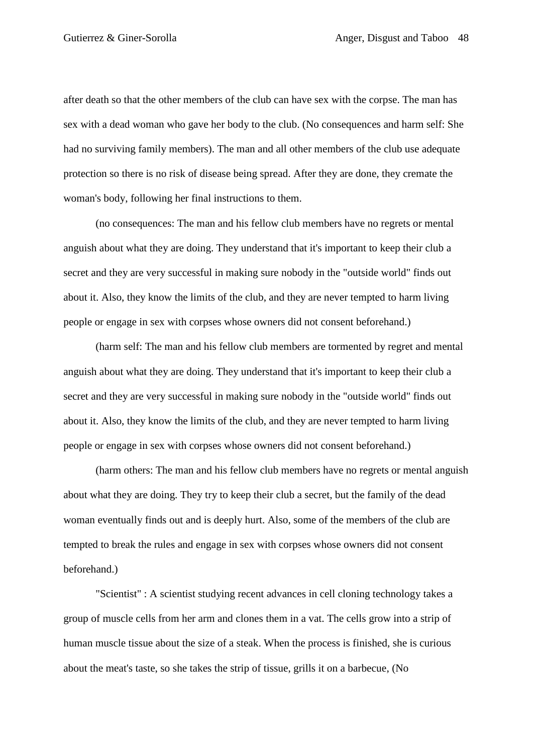after death so that the other members of the club can have sex with the corpse. The man has sex with a dead woman who gave her body to the club. (No consequences and harm self: She had no surviving family members). The man and all other members of the club use adequate protection so there is no risk of disease being spread. After they are done, they cremate the woman's body, following her final instructions to them.

(no consequences: The man and his fellow club members have no regrets or mental anguish about what they are doing. They understand that it's important to keep their club a secret and they are very successful in making sure nobody in the "outside world" finds out about it. Also, they know the limits of the club, and they are never tempted to harm living people or engage in sex with corpses whose owners did not consent beforehand.)

(harm self: The man and his fellow club members are tormented by regret and mental anguish about what they are doing. They understand that it's important to keep their club a secret and they are very successful in making sure nobody in the "outside world" finds out about it. Also, they know the limits of the club, and they are never tempted to harm living people or engage in sex with corpses whose owners did not consent beforehand.)

(harm others: The man and his fellow club members have no regrets or mental anguish about what they are doing. They try to keep their club a secret, but the family of the dead woman eventually finds out and is deeply hurt. Also, some of the members of the club are tempted to break the rules and engage in sex with corpses whose owners did not consent beforehand.)

"Scientist" : A scientist studying recent advances in cell cloning technology takes a group of muscle cells from her arm and clones them in a vat. The cells grow into a strip of human muscle tissue about the size of a steak. When the process is finished, she is curious about the meat's taste, so she takes the strip of tissue, grills it on a barbecue, (No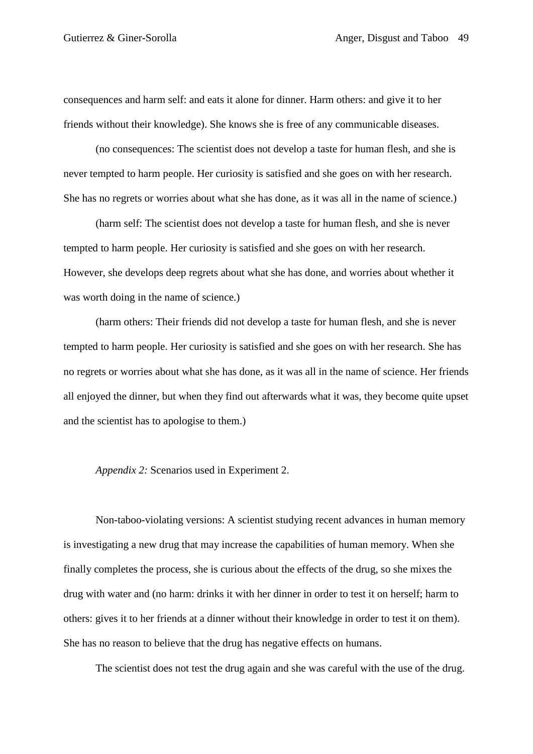consequences and harm self: and eats it alone for dinner. Harm others: and give it to her friends without their knowledge). She knows she is free of any communicable diseases.

(no consequences: The scientist does not develop a taste for human flesh, and she is never tempted to harm people. Her curiosity is satisfied and she goes on with her research. She has no regrets or worries about what she has done, as it was all in the name of science.)

(harm self: The scientist does not develop a taste for human flesh, and she is never tempted to harm people. Her curiosity is satisfied and she goes on with her research. However, she develops deep regrets about what she has done, and worries about whether it was worth doing in the name of science.)

(harm others: Their friends did not develop a taste for human flesh, and she is never tempted to harm people. Her curiosity is satisfied and she goes on with her research. She has no regrets or worries about what she has done, as it was all in the name of science. Her friends all enjoyed the dinner, but when they find out afterwards what it was, they become quite upset and the scientist has to apologise to them.)

*Appendix 2:* Scenarios used in Experiment 2.

Non-taboo-violating versions: A scientist studying recent advances in human memory is investigating a new drug that may increase the capabilities of human memory. When she finally completes the process, she is curious about the effects of the drug, so she mixes the drug with water and (no harm: drinks it with her dinner in order to test it on herself; harm to others: gives it to her friends at a dinner without their knowledge in order to test it on them). She has no reason to believe that the drug has negative effects on humans.

The scientist does not test the drug again and she was careful with the use of the drug.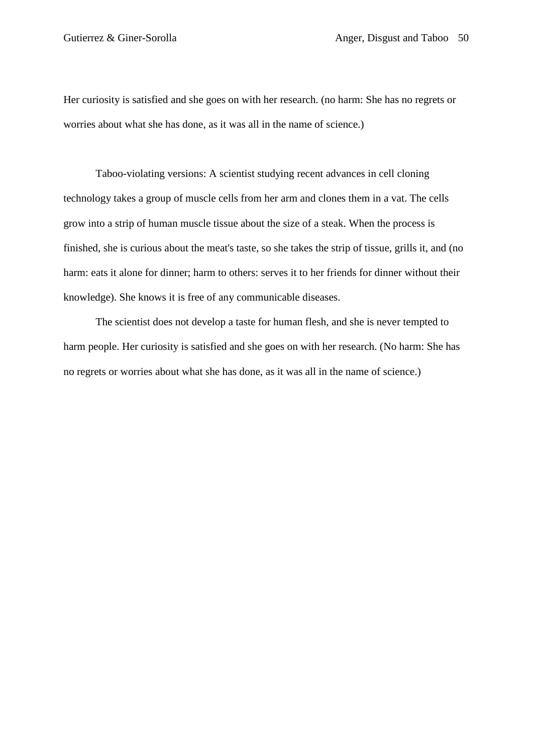Her curiosity is satisfied and she goes on with her research. (no harm: She has no regrets or worries about what she has done, as it was all in the name of science.)

Taboo-violating versions: A scientist studying recent advances in cell cloning technology takes a group of muscle cells from her arm and clones them in a vat. The cells grow into a strip of human muscle tissue about the size of a steak. When the process is finished, she is curious about the meat's taste, so she takes the strip of tissue, grills it, and (no harm: eats it alone for dinner; harm to others: serves it to her friends for dinner without their knowledge). She knows it is free of any communicable diseases.

The scientist does not develop a taste for human flesh, and she is never tempted to harm people. Her curiosity is satisfied and she goes on with her research. (No harm: She has no regrets or worries about what she has done, as it was all in the name of science.)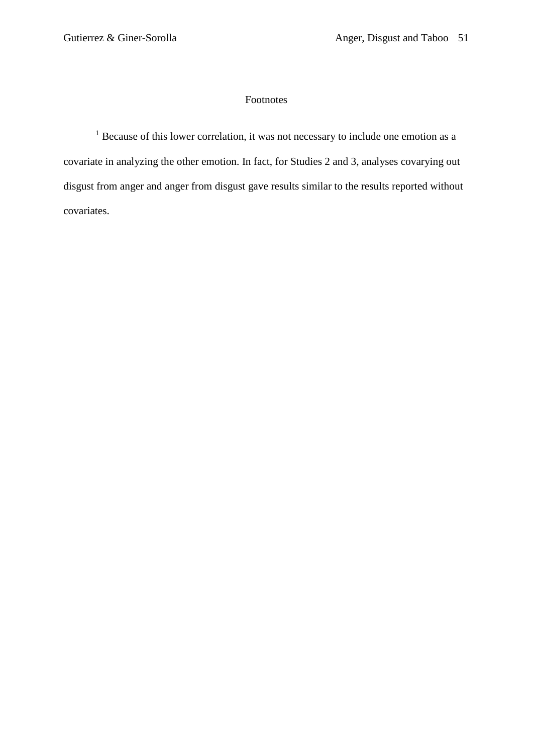## Footnotes

<sup>1</sup> Because of this lower correlation, it was not necessary to include one emotion as a covariate in analyzing the other emotion. In fact, for Studies 2 and 3, analyses covarying out disgust from anger and anger from disgust gave results similar to the results reported without covariates.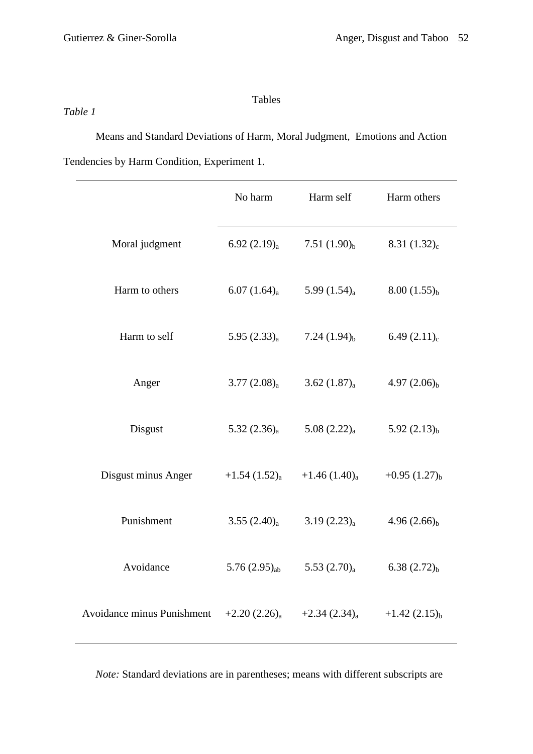# Tables

# *Table 1*

 $\overline{a}$ 

Means and Standard Deviations of Harm, Moral Judgment, Emotions and Action Tendencies by Harm Condition, Experiment 1.

| No harm              | Harm self                  | Harm others                |
|----------------------|----------------------------|----------------------------|
| 6.92 $(2.19)_{a}$    | 7.51 $(1.90)_{b}$          | $8.31(1.32)_{c}$           |
| 6.07 $(1.64)_{a}$    | 5.99 $(1.54)$ <sub>a</sub> | $8.00(1.55)_{b}$           |
| 5.95 $(2.33)_{a}$    | $7.24(1.94)_b$             | 6.49 $(2.11)$ <sub>c</sub> |
| $3.77(2.08)_{a}$     | 3.62 $(1.87)_{a}$          | 4.97 $(2.06)_{b}$          |
| 5.32 $(2.36)_{a}$    | 5.08 $(2.22)_{a}$          | 5.92 $(2.13)_{b}$          |
| $+1.54$ $(1.52)_{a}$ | $+1.46(1.40)a$             | $+0.95(1.27)_b$            |
| 3.55 $(2.40)_{a}$    | 3.19(2.23) <sub>a</sub>    | 4.96 $(2.66)$ <sub>b</sub> |
| 5.76 $(2.95)_{ab}$   | 5.53 $(2.70)_{a}$          | 6.38 $(2.72)_{b}$          |
| $+2.20(2.26)a$       | $+2.34(2.34)_{a}$          | $+1.42(2.15)_{b}$          |
|                      |                            |                            |

*Note:* Standard deviations are in parentheses; means with different subscripts are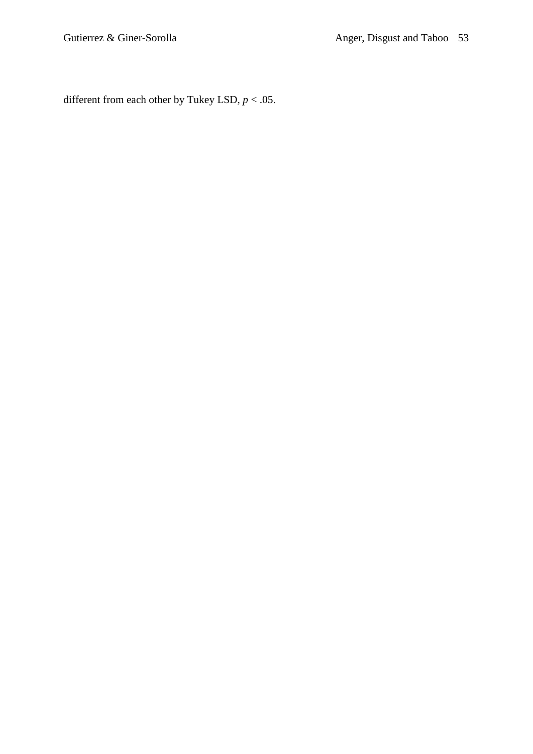different from each other by Tukey LSD,  $p < .05$ .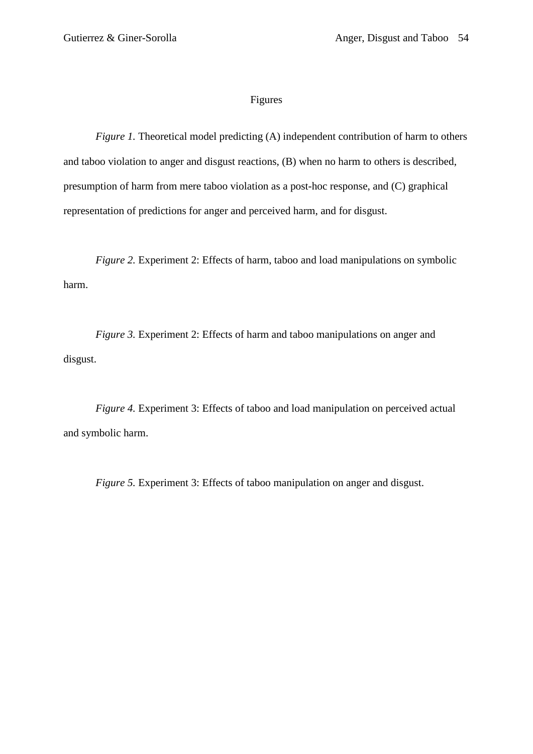# Figures

*Figure 1.* Theoretical model predicting (A) independent contribution of harm to others and taboo violation to anger and disgust reactions, (B) when no harm to others is described, presumption of harm from mere taboo violation as a post-hoc response, and (C) graphical representation of predictions for anger and perceived harm, and for disgust.

*Figure 2.* Experiment 2: Effects of harm, taboo and load manipulations on symbolic harm.

*Figure 3.* Experiment 2: Effects of harm and taboo manipulations on anger and disgust.

*Figure 4.* Experiment 3: Effects of taboo and load manipulation on perceived actual and symbolic harm.

*Figure 5.* Experiment 3: Effects of taboo manipulation on anger and disgust.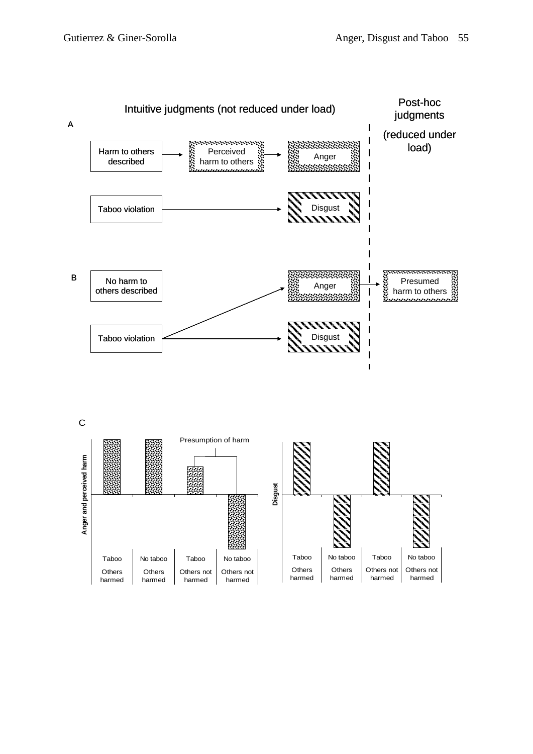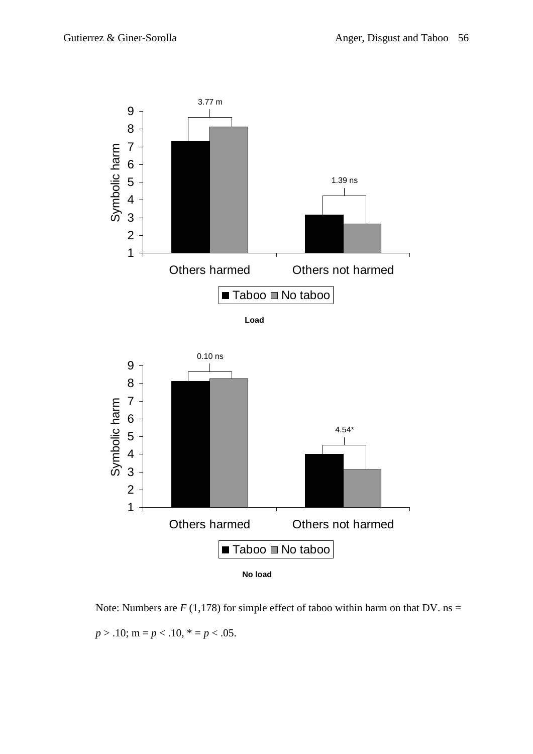

Note: Numbers are  $F(1,178)$  for simple effect of taboo within harm on that DV. ns = *p* > .10; m = *p* < .10, \* = *p* < .05.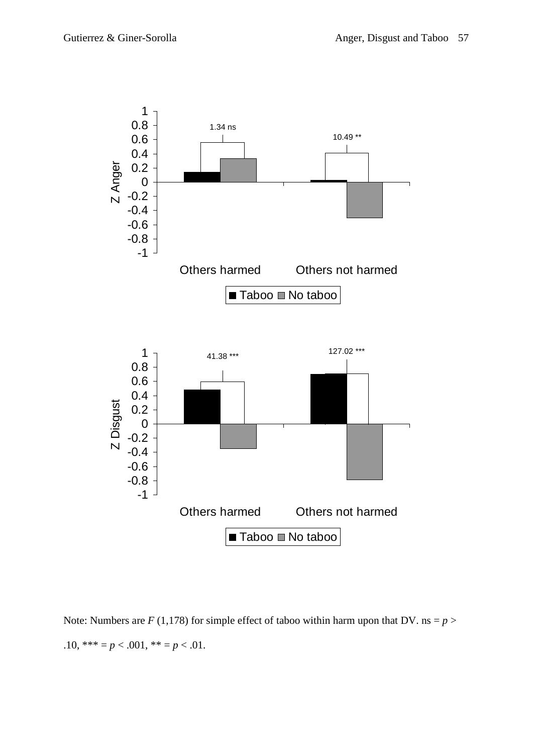

Note: Numbers are *F* (1,178) for simple effect of taboo within harm upon that DV. ns =  $p$  > .10, \*\*\* =  $p < .001$ , \*\* =  $p < .01$ .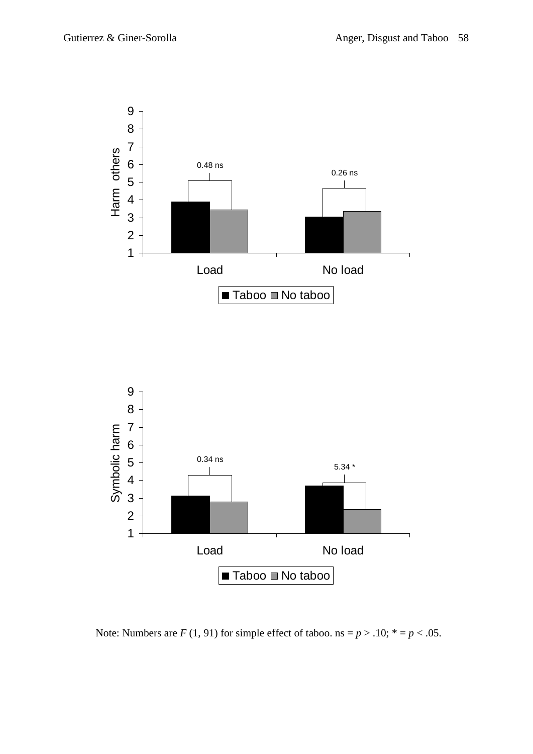



Note: Numbers are  $F(1, 91)$  for simple effect of taboo. ns =  $p > 0.10$ ; \* =  $p < 0.05$ .